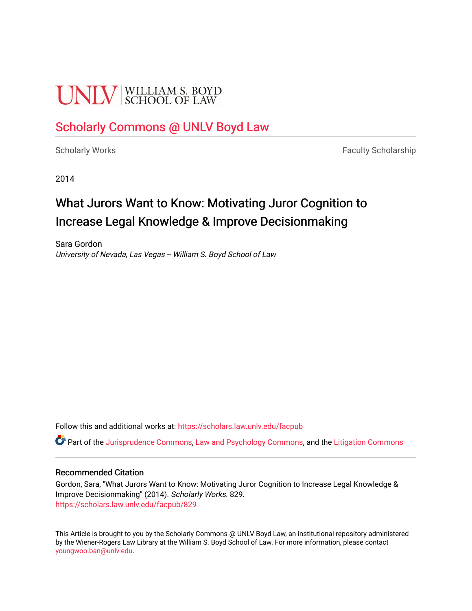# **UNIV** SCHOOL OF LAW

## [Scholarly Commons @ UNLV Boyd Law](https://scholars.law.unlv.edu/)

[Scholarly Works](https://scholars.law.unlv.edu/facpub) **Faculty Scholarship** Faculty Scholarship

2014

## What Jurors Want to Know: Motivating Juror Cognition to Increase Legal Knowledge & Improve Decisionmaking

Sara Gordon University of Nevada, Las Vegas -- William S. Boyd School of Law

Follow this and additional works at: [https://scholars.law.unlv.edu/facpub](https://scholars.law.unlv.edu/facpub?utm_source=scholars.law.unlv.edu%2Ffacpub%2F829&utm_medium=PDF&utm_campaign=PDFCoverPages)

Part of the [Jurisprudence Commons](http://network.bepress.com/hgg/discipline/610?utm_source=scholars.law.unlv.edu%2Ffacpub%2F829&utm_medium=PDF&utm_campaign=PDFCoverPages), [Law and Psychology Commons](http://network.bepress.com/hgg/discipline/870?utm_source=scholars.law.unlv.edu%2Ffacpub%2F829&utm_medium=PDF&utm_campaign=PDFCoverPages), and the [Litigation Commons](http://network.bepress.com/hgg/discipline/910?utm_source=scholars.law.unlv.edu%2Ffacpub%2F829&utm_medium=PDF&utm_campaign=PDFCoverPages)

#### Recommended Citation

Gordon, Sara, "What Jurors Want to Know: Motivating Juror Cognition to Increase Legal Knowledge & Improve Decisionmaking" (2014). Scholarly Works. 829. [https://scholars.law.unlv.edu/facpub/829](https://scholars.law.unlv.edu/facpub/829?utm_source=scholars.law.unlv.edu%2Ffacpub%2F829&utm_medium=PDF&utm_campaign=PDFCoverPages)

This Article is brought to you by the Scholarly Commons @ UNLV Boyd Law, an institutional repository administered by the Wiener-Rogers Law Library at the William S. Boyd School of Law. For more information, please contact [youngwoo.ban@unlv.edu.](mailto:youngwoo.ban@unlv.edu)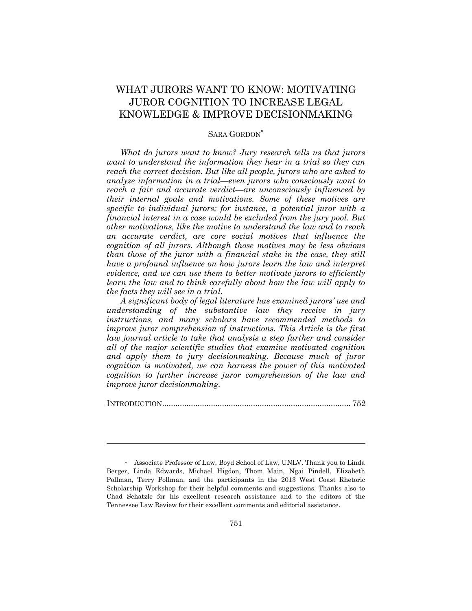### WHAT JURORS WANT TO KNOW: MOTIVATING JUROR COGNITION TO INCREASE LEGAL KNOWLEDGE & IMPROVE DECISIONMAKING

#### SARA GORDON

*What do jurors want to know? Jury research tells us that jurors want to understand the information they hear in a trial so they can reach the correct decision. But like all people, jurors who are asked to analyze information in a trial—even jurors who consciously want to reach a fair and accurate verdict—are unconsciously influenced by their internal goals and motivations. Some of these motives are specific to individual jurors; for instance, a potential juror with a financial interest in a case would be excluded from the jury pool. But other motivations, like the motive to understand the law and to reach an accurate verdict, are core social motives that influence the cognition of all jurors. Although those motives may be less obvious than those of the juror with a financial stake in the case, they still have a profound influence on how jurors learn the law and interpret evidence, and we can use them to better motivate jurors to efficiently learn the law and to think carefully about how the law will apply to the facts they will see in a trial.*

*A significant body of legal literature has examined jurors' use and understanding of the substantive law they receive in jury instructions, and many scholars have recommended methods to improve juror comprehension of instructions. This Article is the first law journal article to take that analysis a step further and consider all of the major scientific studies that examine motivated cognition and apply them to jury decisionmaking. Because much of juror cognition is motivated, we can harness the power of this motivated cognition to further increase juror comprehension of the law and improve juror decisionmaking.*

INTRODUCTION[.....................................................................................](#page-2-0) 752

Associate Professor of Law, Boyd School of Law, UNLV. Thank you to Linda Berger, Linda Edwards, Michael Higdon, Thom Main, Ngai Pindell, Elizabeth Pollman, Terry Pollman, and the participants in the 2013 West Coast Rhetoric Scholarship Workshop for their helpful comments and suggestions. Thanks also to Chad Schatzle for his excellent research assistance and to the editors of the Tennessee Law Review for their excellent comments and editorial assistance.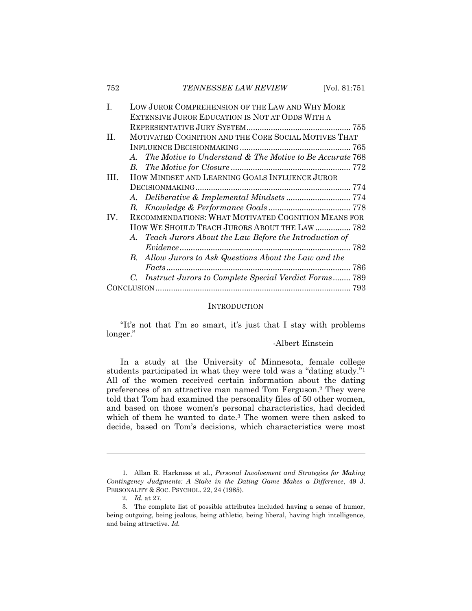| L    | LOW JUROR COMPREHENSION OF THE LAW AND WHY MORE      |                                                             |  |
|------|------------------------------------------------------|-------------------------------------------------------------|--|
|      |                                                      | EXTENSIVE JUROR EDUCATION IS NOT AT ODDS WITH A             |  |
|      |                                                      |                                                             |  |
| H.   | MOTIVATED COGNITION AND THE CORE SOCIAL MOTIVES THAT |                                                             |  |
|      |                                                      |                                                             |  |
|      |                                                      | A. The Motive to Understand & The Motive to Be Accurate 768 |  |
|      |                                                      |                                                             |  |
| III. |                                                      | HOW MINDSET AND LEARNING GOALS INFLUENCE JUROR              |  |
|      |                                                      |                                                             |  |
|      |                                                      |                                                             |  |
|      |                                                      |                                                             |  |
| IV.  |                                                      | RECOMMENDATIONS: WHAT MOTIVATED COGNITION MEANS FOR         |  |
|      |                                                      | HOW WE SHOULD TEACH JURORS ABOUT THE LAW  782               |  |
|      |                                                      | A. Teach Jurors About the Law Before the Introduction of    |  |
|      |                                                      |                                                             |  |
|      |                                                      | B. Allow Jurors to Ask Questions About the Law and the      |  |
|      |                                                      |                                                             |  |
|      |                                                      | C. Instruct Jurors to Complete Special Verdict Forms 789    |  |
|      |                                                      |                                                             |  |

#### **INTRODUCTION**

<span id="page-2-0"></span>"It's not that I'm so smart, it's just that I stay with problems longer."

#### -Albert Einstein

In a study at the University of Minnesota, female college students participated in what they were told was a "dating study."<sup>1</sup> All of the women received certain information about the dating preferences of an attractive man named Tom Ferguson.<sup>2</sup> They were told that Tom had examined the personality files of 50 other women, and based on those women's personal characteristics, had decided which of them he wanted to date.<sup>3</sup> The women were then asked to decide, based on Tom's decisions, which characteristics were most

<sup>1.</sup> Allan R. Harkness et al., *Personal Involvement and Strategies for Making Contingency Judgments: A Stake in the Dating Game Makes a Difference*, 49 J. PERSONALITY & SOC. PSYCHOL. 22, 24 (1985).

<sup>2</sup>*. Id.* at 27.

<sup>3.</sup> The complete list of possible attributes included having a sense of humor, being outgoing, being jealous, being athletic, being liberal, having high intelligence, and being attractive. *Id.*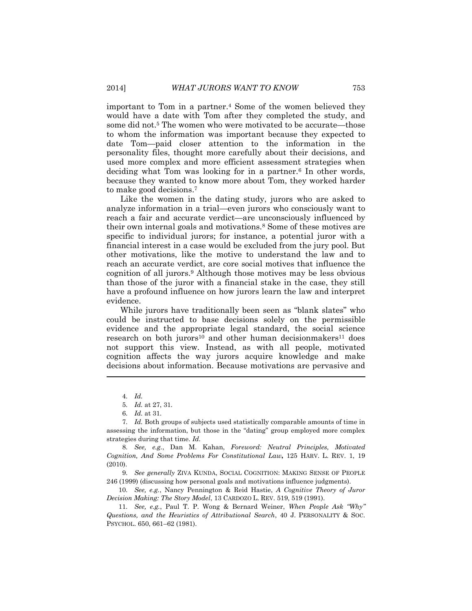important to Tom in a partner.<sup>4</sup> Some of the women believed they would have a date with Tom after they completed the study, and some did not.<sup>5</sup> The women who were motivated to be accurate—those to whom the information was important because they expected to date Tom—paid closer attention to the information in the personality files, thought more carefully about their decisions, and used more complex and more efficient assessment strategies when deciding what Tom was looking for in a partner.<sup>6</sup> In other words, because they wanted to know more about Tom, they worked harder to make good decisions.<sup>7</sup>

Like the women in the dating study, jurors who are asked to analyze information in a trial—even jurors who consciously want to reach a fair and accurate verdict—are unconsciously influenced by their own internal goals and motivations.<sup>8</sup> Some of these motives are specific to individual jurors; for instance, a potential juror with a financial interest in a case would be excluded from the jury pool. But other motivations, like the motive to understand the law and to reach an accurate verdict, are core social motives that influence the cognition of all jurors.<sup>9</sup> Although those motives may be less obvious than those of the juror with a financial stake in the case, they still have a profound influence on how jurors learn the law and interpret evidence.

While jurors have traditionally been seen as "blank slates" who could be instructed to base decisions solely on the permissible evidence and the appropriate legal standard, the social science research on both jurors<sup>10</sup> and other human decisionmakers<sup>11</sup> does not support this view. Instead, as with all people, motivated cognition affects the way jurors acquire knowledge and make decisions about information. Because motivations are pervasive and

<sup>4.</sup> *Id.*

<sup>5.</sup> *Id.* at 27, 31.

<sup>6.</sup> *Id.* at 31.

<sup>7.</sup> *Id.* Both groups of subjects used statistically comparable amounts of time in assessing the information, but those in the "dating" group employed more complex strategies during that time. *Id.*

<sup>8.</sup> *See, e.g.*, Dan M. Kahan, *Foreword: Neutral Principles, Motivated Cognition, And Some Problems For Constitutional Law***,** 125 HARV. L. REV. 1, 19 (2010).

<sup>9.</sup> *See generally* ZIVA KUNDA, SOCIAL COGNITION: MAKING SENSE OF PEOPLE 246 (1999) (discussing how personal goals and motivations influence judgments).

<sup>10.</sup> *See, e.g.*, Nancy Pennington & Reid Hastie, *A Cognitive Theory of Juror Decision Making: The Story Model*, 13 CARDOZO L. REV. 519, 519 (1991).

<sup>11.</sup> *See, e.g.*, Paul T. P. Wong & Bernard Weiner, *When People Ask "Why" Questions, and the Heuristics of Attributional Search*, 40 J. PERSONALITY & SOC. PSYCHOL. 650, 661–62 (1981).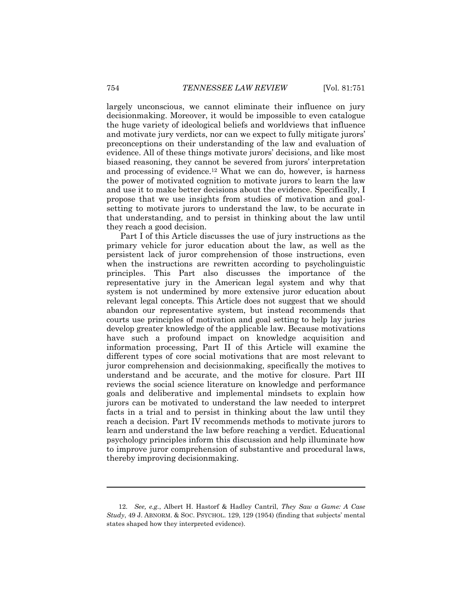largely unconscious, we cannot eliminate their influence on jury decisionmaking. Moreover, it would be impossible to even catalogue the huge variety of ideological beliefs and worldviews that influence and motivate jury verdicts, nor can we expect to fully mitigate jurors' preconceptions on their understanding of the law and evaluation of evidence. All of these things motivate jurors' decisions, and like most biased reasoning, they cannot be severed from jurors' interpretation and processing of evidence.<sup>12</sup> What we can do, however, is harness the power of motivated cognition to motivate jurors to learn the law and use it to make better decisions about the evidence. Specifically, I propose that we use insights from studies of motivation and goalsetting to motivate jurors to understand the law, to be accurate in that understanding, and to persist in thinking about the law until they reach a good decision.

Part I of this Article discusses the use of jury instructions as the primary vehicle for juror education about the law, as well as the persistent lack of juror comprehension of those instructions, even when the instructions are rewritten according to psycholinguistic principles. This Part also discusses the importance of the representative jury in the American legal system and why that system is not undermined by more extensive juror education about relevant legal concepts. This Article does not suggest that we should abandon our representative system, but instead recommends that courts use principles of motivation and goal setting to help lay juries develop greater knowledge of the applicable law. Because motivations have such a profound impact on knowledge acquisition and information processing, Part II of this Article will examine the different types of core social motivations that are most relevant to juror comprehension and decisionmaking, specifically the motives to understand and be accurate, and the motive for closure. Part III reviews the social science literature on knowledge and performance goals and deliberative and implemental mindsets to explain how jurors can be motivated to understand the law needed to interpret facts in a trial and to persist in thinking about the law until they reach a decision. Part IV recommends methods to motivate jurors to learn and understand the law before reaching a verdict. Educational psychology principles inform this discussion and help illuminate how to improve juror comprehension of substantive and procedural laws, thereby improving decisionmaking.

<sup>12.</sup> *See, e.g.*, Albert H. Hastorf & Hadley Cantril, *They Saw a Game: A Case Study*, 49 J. ABNORM. & SOC. PSYCHOL. 129, 129 (1954) (finding that subjects' mental states shaped how they interpreted evidence).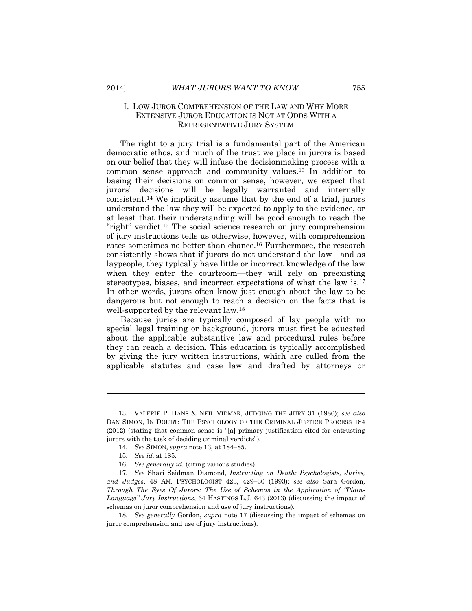#### I. LOW JUROR COMPREHENSION OF THE LAW AND WHY MORE EXTENSIVE JUROR EDUCATION IS NOT AT ODDS WITH A REPRESENTATIVE JURY SYSTEM

The right to a jury trial is a fundamental part of the American democratic ethos, and much of the trust we place in jurors is based on our belief that they will infuse the decisionmaking process with a common sense approach and community values.<sup>13</sup> In addition to basing their decisions on common sense, however, we expect that jurors' decisions will be legally warranted and internally consistent.<sup>14</sup> We implicitly assume that by the end of a trial, jurors understand the law they will be expected to apply to the evidence, or at least that their understanding will be good enough to reach the "right" verdict.<sup>15</sup> The social science research on jury comprehension of jury instructions tells us otherwise, however, with comprehension rates sometimes no better than chance.<sup>16</sup> Furthermore, the research consistently shows that if jurors do not understand the law—and as laypeople, they typically have little or incorrect knowledge of the law when they enter the courtroom—they will rely on preexisting stereotypes, biases, and incorrect expectations of what the law is.<sup>17</sup> In other words, jurors often know just enough about the law to be dangerous but not enough to reach a decision on the facts that is well-supported by the relevant law.<sup>18</sup>

Because juries are typically composed of lay people with no special legal training or background, jurors must first be educated about the applicable substantive law and procedural rules before they can reach a decision. This education is typically accomplished by giving the jury written instructions, which are culled from the applicable statutes and case law and drafted by attorneys or

<span id="page-5-0"></span>

<sup>13.</sup> VALERIE P. HANS & NEIL VIDMAR, JUDGING THE JURY 31 (1986); *see also* DAN SIMON, IN DOUBT: THE PSYCHOLOGY OF THE CRIMINAL JUSTICE PROCESS 184 (2012) (stating that common sense is "[a] primary justification cited for entrusting jurors with the task of deciding criminal verdicts").

<sup>14.</sup> *See* SIMON, *supra* note 13, at 184–85.

<sup>15.</sup> *See id.* at 185.

<sup>16.</sup> *See generally id.* (citing various studies).

<sup>17.</sup> *See* Shari Seidman Diamond, *Instructing on Death: Psychologists, Juries, and Judges*, 48 AM. PSYCHOLOGIST 423, 429–30 (1993); *see also* Sara Gordon*, Through The Eyes Of Jurors: The Use of Schemas in the Application of "Plain-Language" Jury Instructions*, 64 HASTINGS L.J. 643 (2013) (discussing the impact of schemas on juror comprehension and use of jury instructions).

<sup>18.</sup> *See generally* Gordon, *supra* note 17 (discussing the impact of schemas on juror comprehension and use of jury instructions).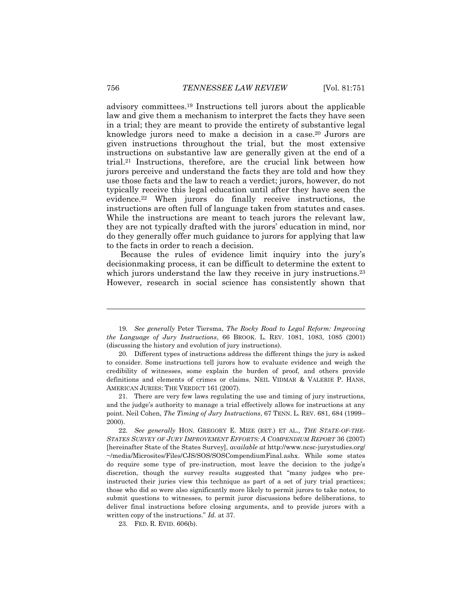advisory committees.<sup>19</sup> Instructions tell jurors about the applicable law and give them a mechanism to interpret the facts they have seen in a trial; they are meant to provide the entirety of substantive legal knowledge jurors need to make a decision in a case.<sup>20</sup> Jurors are given instructions throughout the trial, but the most extensive instructions on substantive law are generally given at the end of a trial.<sup>21</sup> Instructions, therefore, are the crucial link between how jurors perceive and understand the facts they are told and how they use those facts and the law to reach a verdict; jurors, however, do not typically receive this legal education until after they have seen the evidence.<sup>22</sup> When jurors do finally receive instructions, the instructions are often full of language taken from statutes and cases. While the instructions are meant to teach jurors the relevant law, they are not typically drafted with the jurors' education in mind, nor do they generally offer much guidance to jurors for applying that law to the facts in order to reach a decision.

Because the rules of evidence limit inquiry into the jury's decisionmaking process, it can be difficult to determine the extent to which jurors understand the law they receive in jury instructions.<sup>23</sup> However, research in social science has consistently shown that

23. FED. R. EVID. 606(b).

<sup>19.</sup> *See generally* Peter Tiersma, *The Rocky Road to Legal Reform: Improving the Language of Jury Instructions*, 66 BROOK. L. REV. 1081, 1083, 1085 (2001) (discussing the history and evolution of jury instructions).

<sup>20.</sup> Different types of instructions address the different things the jury is asked to consider. Some instructions tell jurors how to evaluate evidence and weigh the credibility of witnesses, some explain the burden of proof, and others provide definitions and elements of crimes or claims. NEIL VIDMAR & VALERIE P. HANS, AMERICAN JURIES: THE VERDICT 161 (2007).

<sup>21.</sup> There are very few laws regulating the use and timing of jury instructions, and the judge's authority to manage a trial effectively allows for instructions at any point. Neil Cohen, *The Timing of Jury Instructions*, 67 TENN. L. REV. 681, 684 (1999– 2000).

<sup>22.</sup> *See generally* HON. GREGORY E. MIZE (RET.) ET AL., *THE STATE-OF-THE-STATES SURVEY OF JURY IMPROVEMENT EFFORTS: A COMPENDIUM REPORT* 36 (2007) [hereinafter State of the States Survey], *available at* http://www.ncsc-jurystudies.org/ ~/media/Microsites/Files/CJS/SOS/SOSCompendiumFinal.ashx. While some states do require some type of pre-instruction, most leave the decision to the judge's discretion, though the survey results suggested that "many judges who preinstructed their juries view this technique as part of a set of jury trial practices; those who did so were also significantly more likely to permit jurors to take notes, to submit questions to witnesses, to permit juror discussions before deliberations, to deliver final instructions before closing arguments, and to provide jurors with a written copy of the instructions." *Id.* at 37.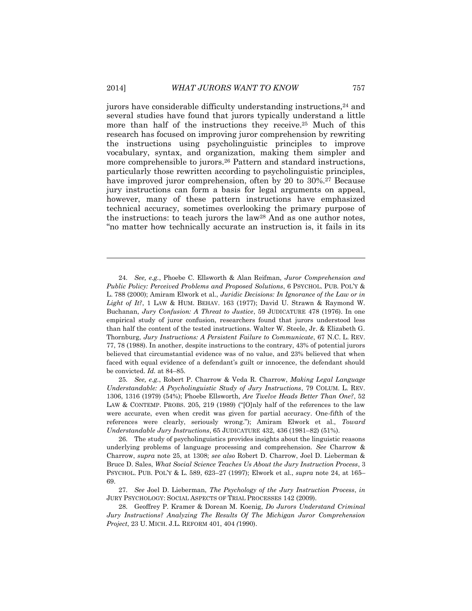jurors have considerable difficulty understanding instructions,<sup>24</sup> and several studies have found that jurors typically understand a little more than half of the instructions they receive.<sup>25</sup> Much of this research has focused on improving juror comprehension by rewriting the instructions using psycholinguistic principles to improve vocabulary, syntax, and organization, making them simpler and more comprehensible to jurors.<sup>26</sup> Pattern and standard instructions, particularly those rewritten according to psycholinguistic principles, have improved juror comprehension, often by 20 to 30%.<sup>27</sup> Because jury instructions can form a basis for legal arguments on appeal, however, many of these pattern instructions have emphasized technical accuracy, sometimes overlooking the primary purpose of the instructions: to teach jurors the law<sup>28</sup> And as one author notes, "no matter how technically accurate an instruction is, it fails in its

25. *See, e.g.*, Robert P. Charrow & Veda R. Charrow, *Making Legal Language Understandable: A Psycholinguistic Study of Jury Instructions*, 79 COLUM. L. REV. 1306, 1316 (1979) (54%); Phoebe Ellsworth, *Are Twelve Heads Better Than One?*, 52 LAW & CONTEMP. PROBS. 205, 219 (1989) ("[O]nly half of the references to the law were accurate, even when credit was given for partial accuracy. One-fifth of the references were clearly, seriously wrong."); Amiram Elwork et al., *Toward Understandable Jury Instructions*, 65 JUDICATURE 432, 436 (1981–82) (51%).

26. The study of psycholinguistics provides insights about the linguistic reasons underlying problems of language processing and comprehension. *See* Charrow & Charrow, *supra* note 25, at 1308; *see also* Robert D. Charrow, Joel D. Lieberman & Bruce D. Sales, *What Social Science Teaches Us About the Jury Instruction Process*, 3 PSYCHOL. PUB. POL'Y & L. 589, 623–27 (1997); Elwork et al., *supra* note 24, at 165– 69.

<sup>24.</sup> *See, e.g.*, Phoebe C. Ellsworth & Alan Reifman, *Juror Comprehension and Public Policy: Perceived Problems and Proposed Solutions*, 6 PSYCHOL. PUB. POL'Y & L. 788 (2000); Amiram Elwork et al., *Juridic Decisions: In Ignorance of the Law or in Light of It?*, 1 LAW & HUM. BEHAV. 163 (1977); David U. Strawn & Raymond W. Buchanan, *Jury Confusion: A Threat to Justice*, 59 JUDICATURE 478 (1976). In one empirical study of juror confusion, researchers found that jurors understood less than half the content of the tested instructions. Walter W. Steele, Jr. & Elizabeth G. Thornburg, *Jury Instructions: A Persistent Failure to Communicate*, 67 N.C. L. REV. 77, 78 (1988). In another, despite instructions to the contrary, 43% of potential jurors believed that circumstantial evidence was of no value, and 23% believed that when faced with equal evidence of a defendant's guilt or innocence, the defendant should be convicted. *Id.* at 84–85.

<sup>27.</sup> *See* Joel D. Lieberman, *The Psychology of the Jury Instruction Process*, *in* JURY PSYCHOLOGY: SOCIAL ASPECTS OF TRIAL PROCESSES 142 (2009).

<sup>28.</sup> Geoffrey P. Kramer & Dorean M. Koenig, *Do Jurors Understand Criminal Jury Instructions? Analyzing The Results Of The Michigan Juror Comprehension Project*, 23 U. MICH. J.L. REFORM 401, 404 *(*1990).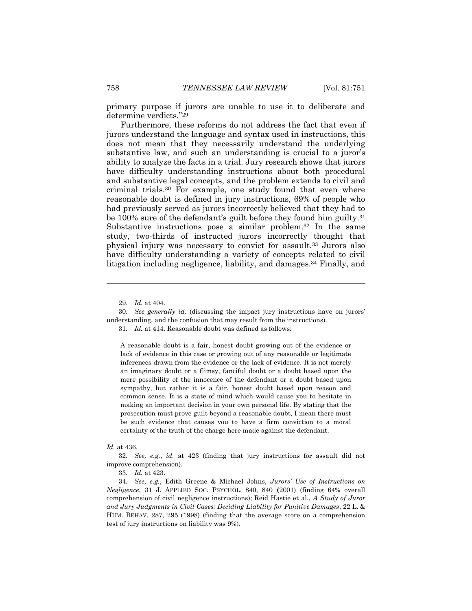primary purpose if jurors are unable to use it to deliberate and determine verdicts."<sup>29</sup>

Furthermore, these reforms do not address the fact that even if jurors understand the language and syntax used in instructions, this does not mean that they necessarily understand the underlying substantive law, and such an understanding is crucial to a juror's ability to analyze the facts in a trial. Jury research shows that jurors have difficulty understanding instructions about both procedural and substantive legal concepts, and the problem extends to civil and criminal trials.<sup>30</sup> For example, one study found that even where reasonable doubt is defined in jury instructions, 69% of people who had previously served as jurors incorrectly believed that they had to be 100% sure of the defendant's guilt before they found him guilty.<sup>31</sup> Substantive instructions pose a similar problem.<sup>32</sup> In the same study, two-thirds of instructed jurors incorrectly thought that physical injury was necessary to convict for assault.<sup>33</sup> Jurors also have difficulty understanding a variety of concepts related to civil litigation including negligence, liability, and damages.<sup>34</sup> Finally, and

 $\overline{a}$ 

A reasonable doubt is a fair, honest doubt growing out of the evidence or lack of evidence in this case or growing out of any reasonable or legitimate inferences drawn from the evidence or the lack of evidence. It is not merely an imaginary doubt or a flimsy, fanciful doubt or a doubt based upon the mere possibility of the innocence of the defendant or a doubt based upon sympathy, but rather it is a fair, honest doubt based upon reason and common sense. It is a state of mind which would cause you to hesitate in making an important decision in your own personal life. By stating that the prosecution must prove guilt beyond a reasonable doubt, I mean there must be such evidence that causes you to have a firm conviction to a moral certainty of the truth of the charge here made against the defendant.

#### *Id.* at 436.

33. *Id.* at 423.

<sup>29.</sup> *Id.* at 404.

<sup>30.</sup> *See generally id.* (discussing the impact jury instructions have on jurors' understanding, and the confusion that may result from the instructions).

<sup>31.</sup> *Id.* at 414. Reasonable doubt was defined as follows:

<sup>32.</sup> *See, e.g.*, *id.* at 423 (finding that jury instructions for assault did not improve comprehension).

<sup>34.</sup> *See, e.g.*, Edith Greene & Michael Johns, *Jurors' Use of Instructions on Negligence*, 31 J. APPLIED SOC. PSYCHOL. 840, 840 **(**2001) (finding 64% overall comprehension of civil negligence instructions); Reid Hastie et al., *A Study of Juror and Jury Judgments in Civil Cases: Deciding Liability for Punitive Damages*, 22 L. & HUM. BEHAV. 287, 295 (1998) (finding that the average score on a comprehension test of jury instructions on liability was 9%).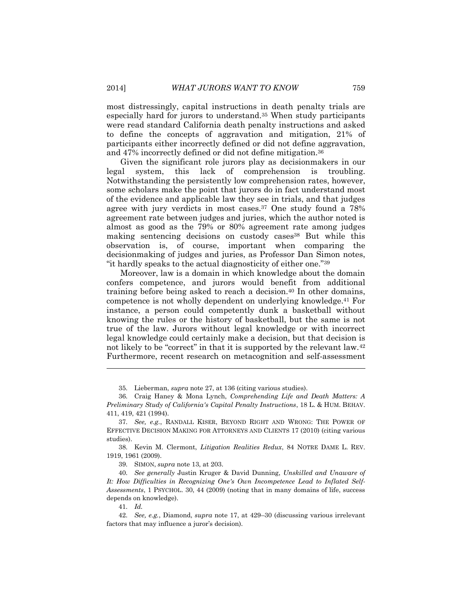most distressingly, capital instructions in death penalty trials are especially hard for jurors to understand.<sup>35</sup> When study participants were read standard California death penalty instructions and asked to define the concepts of aggravation and mitigation, 21% of participants either incorrectly defined or did not define aggravation, and 47% incorrectly defined or did not define mitigation.<sup>36</sup>

Given the significant role jurors play as decisionmakers in our legal system, this lack of comprehension is troubling. Notwithstanding the persistently low comprehension rates, however, some scholars make the point that jurors do in fact understand most of the evidence and applicable law they see in trials, and that judges agree with jury verdicts in most cases.<sup>37</sup> One study found a 78% agreement rate between judges and juries, which the author noted is almost as good as the 79% or 80% agreement rate among judges making sentencing decisions on custody cases<sup>38</sup> But while this observation is, of course, important when comparing the decisionmaking of judges and juries, as Professor Dan Simon notes, "it hardly speaks to the actual diagnosticity of either one."<sup>39</sup>

Moreover, law is a domain in which knowledge about the domain confers competence, and jurors would benefit from additional training before being asked to reach a decision.<sup>40</sup> In other domains, competence is not wholly dependent on underlying knowledge.<sup>41</sup> For instance, a person could competently dunk a basketball without knowing the rules or the history of basketball, but the same is not true of the law. Jurors without legal knowledge or with incorrect legal knowledge could certainly make a decision, but that decision is not likely to be "correct" in that it is supported by the relevant law.<sup>42</sup> Furthermore, recent research on metacognition and self-assessment

39. SIMON, *supra* note 13, at 203.

40. *See generally* Justin Kruger & David Dunning, *Unskilled and Unaware of It: How Difficulties in Recognizing One's Own Incompetence Lead to Inflated Self-Assessments*, 1 PSYCHOL. 30, 44 (2009) (noting that in many domains of life, success depends on knowledge).

41. *Id.*

<sup>35.</sup> Lieberman, *supra* note 27, at 136 (citing various studies).

<sup>36.</sup> Craig Haney & Mona Lynch, *Comprehending Life and Death Matters: A Preliminary Study of California's Capital Penalty Instructions*, 18 L. & HUM. BEHAV. 411, 419, 421 (1994).

<sup>37.</sup> *See, e.g.*, RANDALL KISER, BEYOND RIGHT AND WRONG: THE POWER OF EFFECTIVE DECISION MAKING FOR ATTORNEYS AND CLIENTS 17 (2010) (citing various studies).

<sup>38.</sup> Kevin M. Clermont, *Litigation Realities Redux*, 84 NOTRE DAME L. REV. 1919, 1961 (2009).

<sup>42.</sup> *See, e.g.*, Diamond, *supra* note 17, at 429–30 (discussing various irrelevant factors that may influence a juror's decision).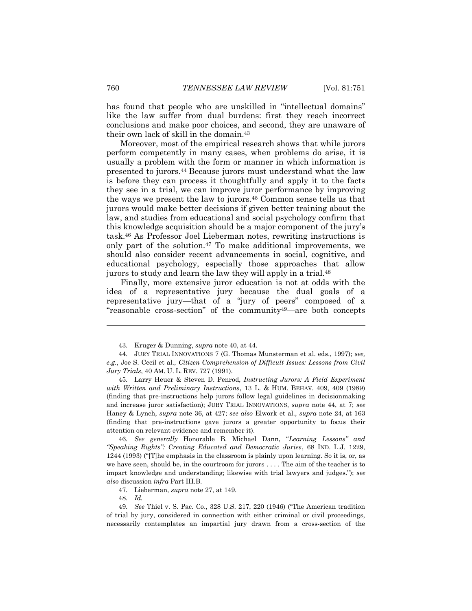has found that people who are unskilled in "intellectual domains" like the law suffer from dual burdens: first they reach incorrect conclusions and make poor choices, and second, they are unaware of their own lack of skill in the domain.<sup>43</sup>

Moreover, most of the empirical research shows that while jurors perform competently in many cases, when problems do arise, it is usually a problem with the form or manner in which information is presented to jurors.<sup>44</sup> Because jurors must understand what the law is before they can process it thoughtfully and apply it to the facts they see in a trial, we can improve juror performance by improving the ways we present the law to jurors.<sup>45</sup> Common sense tells us that jurors would make better decisions if given better training about the law, and studies from educational and social psychology confirm that this knowledge acquisition should be a major component of the jury's task.<sup>46</sup> As Professor Joel Lieberman notes, rewriting instructions is only part of the solution.<sup>47</sup> To make additional improvements, we should also consider recent advancements in social, cognitive, and educational psychology, especially those approaches that allow jurors to study and learn the law they will apply in a trial.<sup>48</sup>

Finally, more extensive juror education is not at odds with the idea of a representative jury because the dual goals of a representative jury—that of a "jury of peers" composed of a "reasonable cross-section" of the community49—are both concepts

46. *See generally* Honorable B. Michael Dann, "*Learning Lessons" and "Speaking Rights": Creating Educated and Democratic Juries*, 68 IND. L.J. 1229, 1244 (1993) ("[T]he emphasis in the classroom is plainly upon learning. So it is, or, as we have seen, should be, in the courtroom for jurors . . . . The aim of the teacher is to impart knowledge and understanding; likewise with trial lawyers and judges."); *see also* discussion *infra* Part III.B.

47. Lieberman, *supra* note 27, at 149.

<sup>43.</sup> Kruger & Dunning, *supra* note 40, at 44.

<sup>44.</sup> JURY TRIAL INNOVATIONS 7 (G. Thomas Munsterman et al. eds., 1997); *see, e.g.*, Joe S. Cecil et al., *Citizen Comprehension of Difficult Issues: Lessons from Civil Jury Trials*, 40 AM. U. L. REV. 727 (1991).

<sup>45.</sup> Larry Heuer & Steven D. Penrod, *Instructing Jurors: A Field Experiment with Written and Preliminary Instructions*, 13 L. & HUM. BEHAV. 409, 409 (1989) (finding that pre-instructions help jurors follow legal guidelines in decisionmaking and increase juror satisfaction); JURY TRIAL INNOVATIONS, *supra* note 44, at 7; *see* Haney & Lynch, *supra* note 36, at 427; *see also* Elwork et al., *supra* note 24, at 163 (finding that pre-instructions gave jurors a greater opportunity to focus their attention on relevant evidence and remember it).

<sup>48.</sup> *Id.*

<sup>49.</sup> *See* Thiel v. S. Pac. Co., 328 U.S. 217, 220 (1946) ("The American tradition of trial by jury, considered in connection with either criminal or civil proceedings, necessarily contemplates an impartial jury drawn from a cross-section of the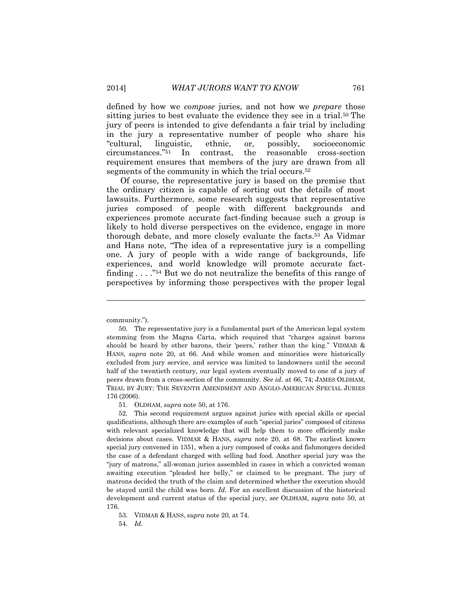defined by how we *compose* juries, and not how we *prepare* those sitting juries to best evaluate the evidence they see in a trial.<sup>50</sup> The jury of peers is intended to give defendants a fair trial by including in the jury a representative number of people who share his "cultural, linguistic, ethnic, or, possibly, socioeconomic circumstances."<sup>51</sup> In contrast, the reasonable cross-section requirement ensures that members of the jury are drawn from all segments of the community in which the trial occurs.<sup>52</sup>

Of course, the representative jury is based on the premise that the ordinary citizen is capable of sorting out the details of most lawsuits. Furthermore, some research suggests that representative juries composed of people with different backgrounds and experiences promote accurate fact-finding because such a group is likely to hold diverse perspectives on the evidence, engage in more thorough debate, and more closely evaluate the facts.<sup>53</sup> As Vidmar and Hans note, "The idea of a representative jury is a compelling one. A jury of people with a wide range of backgrounds, life experiences, and world knowledge will promote accurate factfinding . . . ." <sup>54</sup> But we do not neutralize the benefits of this range of perspectives by informing those perspectives with the proper legal

 $\overline{a}$ 

51. OLDHAM, *supra* note 50, at 176.

52. This second requirement argues against juries with special skills or special qualifications, although there are examples of such "special juries" composed of citizens with relevant specialized knowledge that will help them to more efficiently make decisions about cases. VIDMAR & HANS, *supra* note 20, at 68. The earliest known special jury convened in 1351, when a jury composed of cooks and fishmongers decided the case of a defendant charged with selling bad food. Another special jury was the "jury of matrons," all-woman juries assembled in cases in which a convicted woman awaiting execution "pleaded her belly," or claimed to be pregnant. The jury of matrons decided the truth of the claim and determined whether the execution should be stayed until the child was born. *Id.* For an excellent discussion of the historical development and current status of the special jury, *see* OLDHAM, *supra* note 50, at 176.

53. VIDMAR & HANS, *supra* note 20, at 74.

54. *Id.*

community.").

<sup>50.</sup> The representative jury is a fundamental part of the American legal system stemming from the Magna Carta, which required that "charges against barons should be heard by other barons, their 'peers,' rather than the king." VIDMAR & HANS, *supra* note 20, at 66. And while women and minorities were historically excluded from jury service, and service was limited to landowners until the second half of the twentieth century, our legal system eventually moved to one of a jury of peers drawn from a cross-section of the community. *See id.* at 66, 74; JAMES OLDHAM, TRIAL BY JURY: THE SEVENTH AMENDMENT AND ANGLO-AMERICAN SPECIAL JURIES 176 (2006).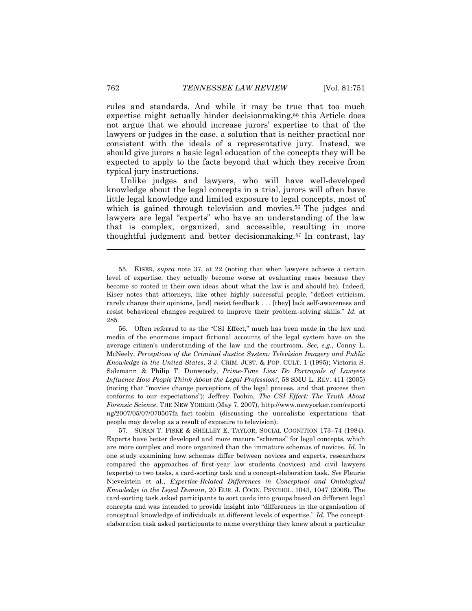rules and standards. And while it may be true that too much expertise might actually hinder decisionmaking, <sup>55</sup> this Article does not argue that we should increase jurors' expertise to that of the lawyers or judges in the case, a solution that is neither practical nor consistent with the ideals of a representative jury. Instead, we should give jurors a basic legal education of the concepts they will be expected to apply to the facts beyond that which they receive from typical jury instructions.

Unlike judges and lawyers, who will have well-developed knowledge about the legal concepts in a trial, jurors will often have little legal knowledge and limited exposure to legal concepts, most of which is gained through television and movies.<sup>56</sup> The judges and lawyers are legal "experts" who have an understanding of the law that is complex, organized, and accessible, resulting in more thoughtful judgment and better decisionmaking.<sup>57</sup> In contrast, lay

56. Often referred to as the "CSI Effect," much has been made in the law and media of the enormous impact fictional accounts of the legal system have on the average citizen's understanding of the law and the courtroom. *See, e.g.*, Conny L. McNeely, *Perceptions of the Criminal Justice System: Television Imagery and Public Knowledge in the United States*, 3 J. CRIM. JUST. & POP. CULT. 1 (1995); Victoria S. Salzmann & Philip T. Dunwoody, *Prime-Time Lies: Do Portrayals of Lawyers Influence How People Think About the Legal Profession?*, 58 SMU L. REV. 411 (2005) (noting that "movies change perceptions of the legal process, and that process then conforms to our expectations"); Jeffrey Toobin, *The CSI Effect: The Truth About Forensic Science*, THE NEW YORKER (May 7, 2007), [http://www.newyorker.com/reporti](http://www.newyorker.com/reporti%20ng/2007/05/07/070507fa_fact_toobin)  [ng/2007/05/07/070507fa\\_fact\\_toobin](http://www.newyorker.com/reporti%20ng/2007/05/07/070507fa_fact_toobin) (discussing the unrealistic expectations that people may develop as a result of exposure to television).

57. SUSAN T. FISKE & SHELLEY E. TAYLOR, SOCIAL COGNITION 173–74 (1984). Experts have better developed and more mature "schemas" for legal concepts, which are more complex and more organized than the immature schemas of novices. *Id.* In one study examining how schemas differ between novices and experts, researchers compared the approaches of first-year law students (novices) and civil lawyers (experts) to two tasks, a card-sorting task and a concept-elaboration task. *See* Fleurie Nievelstein et al., *Expertise-Related Differences in Conceptual and Ontological Knowledge in the Legal Domain*, 20 EUR. J. COGN. PSYCHOL. 1043, 1047 (2008). The card-sorting task asked participants to sort cards into groups based on different legal concepts and was intended to provide insight into "differences in the organisation of conceptual knowledge of individuals at different levels of expertise." *Id.* The conceptelaboration task asked participants to name everything they knew about a particular

<sup>55.</sup> KISER, *supra* note 37, at 22 (noting that when lawyers achieve a certain level of expertise, they actually become worse at evaluating cases because they become so rooted in their own ideas about what the law is and should be). Indeed, Kiser notes that attorneys, like other highly successful people, "deflect criticism, rarely change their opinions, [and] resist feedback . . . [they] lack self-awareness and resist behavioral changes required to improve their problem-solving skills." *Id.* at 285.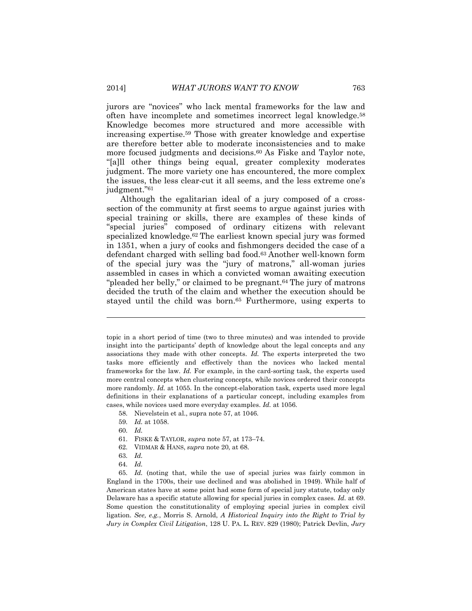jurors are "novices" who lack mental frameworks for the law and often have incomplete and sometimes incorrect legal knowledge.<sup>58</sup> Knowledge becomes more structured and more accessible with increasing expertise.<sup>59</sup> Those with greater knowledge and expertise are therefore better able to moderate inconsistencies and to make more focused judgments and decisions.<sup>60</sup> As Fiske and Taylor note, "[a]ll other things being equal, greater complexity moderates judgment. The more variety one has encountered, the more complex the issues, the less clear-cut it all seems, and the less extreme one's judgment."<sup>61</sup>

Although the egalitarian ideal of a jury composed of a crosssection of the community at first seems to argue against juries with special training or skills, there are examples of these kinds of "special juries" composed of ordinary citizens with relevant specialized knowledge.<sup>62</sup> The earliest known special jury was formed in 1351, when a jury of cooks and fishmongers decided the case of a defendant charged with selling bad food.<sup>63</sup> Another well-known form of the special jury was the "jury of matrons," all-woman juries assembled in cases in which a convicted woman awaiting execution "pleaded her belly," or claimed to be pregnant.<sup>64</sup> The jury of matrons decided the truth of the claim and whether the execution should be stayed until the child was born.<sup>65</sup> Furthermore, using experts to

topic in a short period of time (two to three minutes) and was intended to provide insight into the participants' depth of knowledge about the legal concepts and any associations they made with other concepts. *Id.* The experts interpreted the two tasks more efficiently and effectively than the novices who lacked mental frameworks for the law. *Id.* For example, in the card-sorting task, the experts used more central concepts when clustering concepts, while novices ordered their concepts more randomly. *Id.* at 1055. In the concept-elaboration task, experts used more legal definitions in their explanations of a particular concept, including examples from cases, while novices used more everyday examples. *Id.* at 1056.

- 58. Nievelstein et al., supra note 57, at 1046.
- 59. *Id.* at 1058.
- 60. *Id.*

- 61. FISKE & TAYLOR, *supra* note 57, at 173–74.
- 62. VIDMAR & HANS, *supra* note 20, at 68.
- 63. *Id.*
- 64. *Id.*
- 65. *Id.* (noting that, while the use of special juries was fairly common in England in the 1700s, their use declined and was abolished in 1949). While half of American states have at some point had some form of special jury statute, today only Delaware has a specific statute allowing for special juries in complex cases. *Id.* at 69. Some question the constitutionality of employing special juries in complex civil ligation. *See, e.g.*, Morris S. Arnold, *A Historical Inquiry into the Right to Trial by Jury in Complex Civil Litigation*, 128 U. PA. L. REV. 829 (1980); Patrick Devlin, *Jury*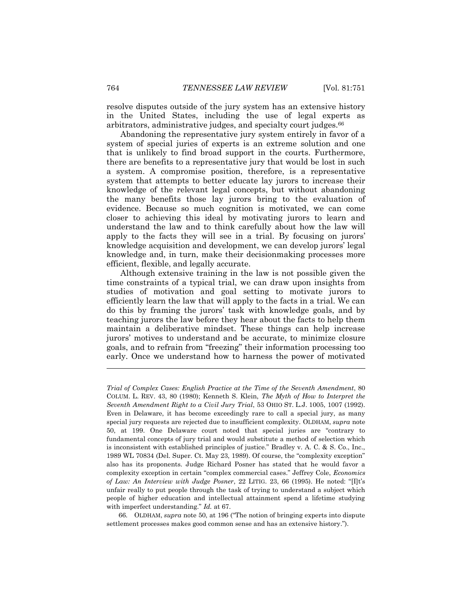resolve disputes outside of the jury system has an extensive history in the United States, including the use of legal experts as arbitrators, administrative judges, and specialty court judges.<sup>66</sup>

Abandoning the representative jury system entirely in favor of a system of special juries of experts is an extreme solution and one that is unlikely to find broad support in the courts. Furthermore, there are benefits to a representative jury that would be lost in such a system. A compromise position, therefore, is a representative system that attempts to better educate lay jurors to increase their knowledge of the relevant legal concepts, but without abandoning the many benefits those lay jurors bring to the evaluation of evidence. Because so much cognition is motivated, we can come closer to achieving this ideal by motivating jurors to learn and understand the law and to think carefully about how the law will apply to the facts they will see in a trial. By focusing on jurors' knowledge acquisition and development, we can develop jurors' legal knowledge and, in turn, make their decisionmaking processes more efficient, flexible, and legally accurate.

Although extensive training in the law is not possible given the time constraints of a typical trial, we can draw upon insights from studies of motivation and goal setting to motivate jurors to efficiently learn the law that will apply to the facts in a trial. We can do this by framing the jurors' task with knowledge goals, and by teaching jurors the law before they hear about the facts to help them maintain a deliberative mindset. These things can help increase jurors' motives to understand and be accurate, to minimize closure goals, and to refrain from "freezing" their information processing too early. Once we understand how to harness the power of motivated

66. OLDHAM, *supra* note 50, at 196 ("The notion of bringing experts into dispute settlement processes makes good common sense and has an extensive history.").

*Trial of Complex Cases: English Practice at the Time of the Seventh Amendment*, 80 COLUM. L. REV. 43, 80 (1980); Kenneth S. Klein, *The Myth of How to Interpret the Seventh Amendment Right to a Civil Jury Trial*, 53 OHIO ST. L.J. 1005, 1007 (1992). Even in Delaware, it has become exceedingly rare to call a special jury, as many special jury requests are rejected due to insufficient complexity. OLDHAM, *supra* note 50, at 199. One Delaware court noted that special juries are "contrary to fundamental concepts of jury trial and would substitute a method of selection which is inconsistent with established principles of justice." Bradley v. A. C. & S. Co., Inc., 1989 WL 70834 (Del. Super. Ct. May 23, 1989). Of course, the "complexity exception" also has its proponents. Judge Richard Posner has stated that he would favor a complexity exception in certain "complex commercial cases." Jeffrey Cole, *Economics of Law: An Interview with Judge Posner*, 22 LITIG. 23, 66 (1995). He noted: "[I]t's unfair really to put people through the task of trying to understand a subject which people of higher education and intellectual attainment spend a lifetime studying with imperfect understanding." *Id.* at 67.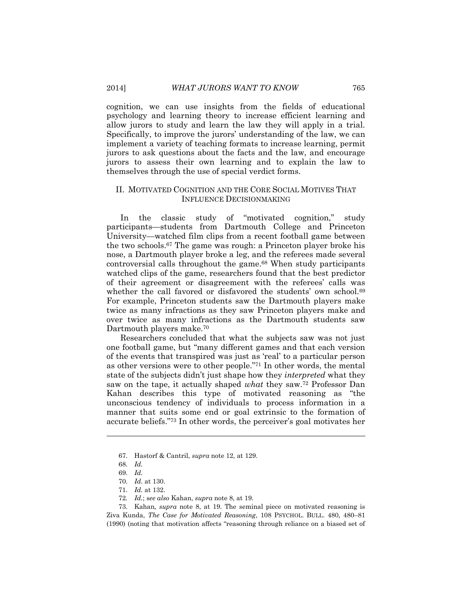cognition, we can use insights from the fields of educational psychology and learning theory to increase efficient learning and allow jurors to study and learn the law they will apply in a trial. Specifically, to improve the jurors' understanding of the law, we can implement a variety of teaching formats to increase learning, permit jurors to ask questions about the facts and the law, and encourage jurors to assess their own learning and to explain the law to themselves through the use of special verdict forms.

#### <span id="page-15-0"></span>II. MOTIVATED COGNITION AND THE CORE SOCIAL MOTIVES THAT INFLUENCE DECISIONMAKING

In the classic study of "motivated cognition," study participants—students from Dartmouth College and Princeton University—watched film clips from a recent football game between the two schools.<sup>67</sup> The game was rough: a Princeton player broke his nose, a Dartmouth player broke a leg, and the referees made several controversial calls throughout the game.<sup>68</sup> When study participants watched clips of the game, researchers found that the best predictor of their agreement or disagreement with the referees' calls was whether the call favored or disfavored the students' own school.<sup>69</sup> For example, Princeton students saw the Dartmouth players make twice as many infractions as they saw Princeton players make and over twice as many infractions as the Dartmouth students saw Dartmouth players make.<sup>70</sup>

Researchers concluded that what the subjects saw was not just one football game, but "many different games and that each version of the events that transpired was just as 'real' to a particular person as other versions were to other people."<sup>71</sup> In other words, the mental state of the subjects didn't just shape how they *interpreted* what they saw on the tape, it actually shaped *what* they saw.<sup>72</sup> Professor Dan Kahan describes this type of motivated reasoning as "the unconscious tendency of individuals to process information in a manner that suits some end or goal extrinsic to the formation of accurate beliefs."<sup>73</sup> In other words, the perceiver's goal motivates her

<sup>67.</sup> Hastorf & Cantril, *supra* note 12, at 129.

<sup>68.</sup> *Id.*

<sup>69.</sup> *Id.*

<sup>70.</sup> *Id.* at 130.

<sup>71.</sup> *Id.* at 132.

<sup>72</sup>*. Id.*; s*ee also* Kahan, *supra* note 8, at 19.

<sup>73.</sup> Kahan*, supra* note 8, at 19. The seminal piece on motivated reasoning is Ziva Kunda, *The Case for Motivated Reasoning*, 108 PSYCHOL. BULL. 480, 480–81 (1990) (noting that motivation affects "reasoning through reliance on a biased set of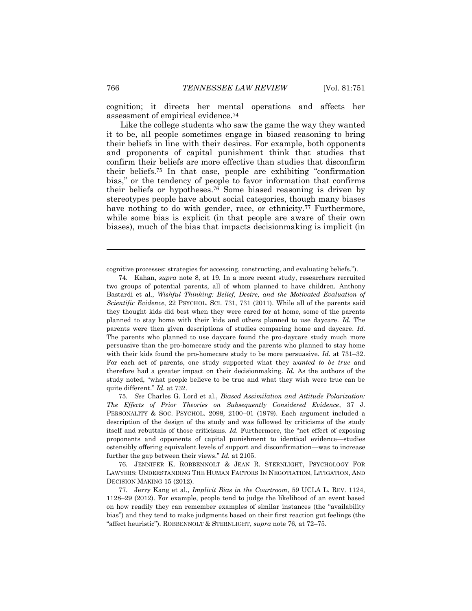cognition; it directs her mental operations and affects her assessment of empirical evidence.<sup>74</sup>

Like the college students who saw the game the way they wanted it to be, all people sometimes engage in biased reasoning to bring their beliefs in line with their desires. For example, both opponents and proponents of capital punishment think that studies that confirm their beliefs are more effective than studies that disconfirm their beliefs.<sup>75</sup> In that case, people are exhibiting "confirmation bias," or the tendency of people to favor information that confirms their beliefs or hypotheses.<sup>76</sup> Some biased reasoning is driven by stereotypes people have about social categories, though many biases have nothing to do with gender, race, or ethnicity.<sup>77</sup> Furthermore, while some bias is explicit (in that people are aware of their own biases), much of the bias that impacts decisionmaking is implicit (in

cognitive processes: strategies for accessing, constructing, and evaluating beliefs.").

75. *See* Charles G. Lord et al., *Biased Assimilation and Attitude Polarization: The Effects of Prior Theories on Subsequently Considered Evidence*, 37 J. PERSONALITY & SOC. PSYCHOL. 2098, 2100–01 (1979). Each argument included a description of the design of the study and was followed by criticisms of the study itself and rebuttals of those criticisms. *Id.* Furthermore, the "net effect of exposing proponents and opponents of capital punishment to identical evidence—studies ostensibly offering equivalent levels of support and disconfirmation—was to increase further the gap between their views." *Id.* at 2105.

76. JENNIFER K. ROBBENNOLT & JEAN R. STERNLIGHT, PSYCHOLOGY FOR LAWYERS: UNDERSTANDING THE HUMAN FACTORS IN NEGOTIATION, LITIGATION, AND DECISION MAKING 15 (2012).

<sup>74.</sup> Kahan, *supra* note 8, at 19. In a more recent study, researchers recruited two groups of potential parents, all of whom planned to have children. Anthony Bastardi et al., *Wishful Thinking: Belief, Desire, and the Motivated Evaluation of Scientific Evidence*, 22 PSYCHOL. SCI. 731, 731 (2011). While all of the parents said they thought kids did best when they were cared for at home, some of the parents planned to stay home with their kids and others planned to use daycare. *Id.* The parents were then given descriptions of studies comparing home and daycare. *Id.* The parents who planned to use daycare found the pro-daycare study much more persuasive than the pro-homecare study and the parents who planned to stay home with their kids found the pro-homecare study to be more persuasive. *Id.* at 731–32. For each set of parents, one study supported what they *wanted to be true* and therefore had a greater impact on their decisionmaking. *Id.* As the authors of the study noted, "what people believe to be true and what they wish were true can be quite different." *Id.* at 732.

<sup>77.</sup> Jerry Kang et al., *Implicit Bias in the Courtroom*, 59 UCLA L. REV. 1124, 1128–29 (2012). For example, people tend to judge the likelihood of an event based on how readily they can remember examples of similar instances (the "availability bias") and they tend to make judgments based on their first reaction gut feelings (the "affect heuristic"). ROBBENNOLT & STERNLIGHT, *supra* note 76, at 72–75.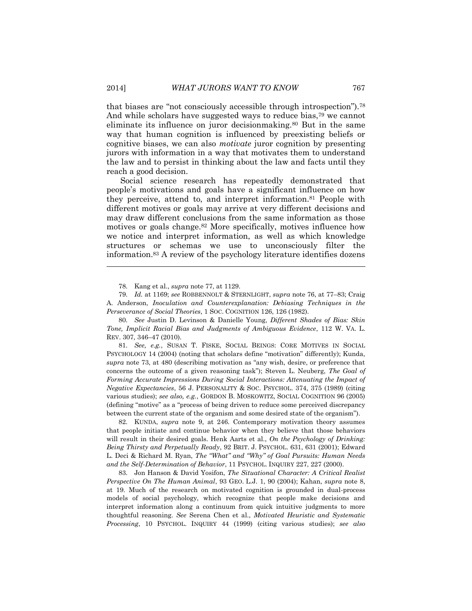that biases are "not consciously accessible through introspection").<sup>78</sup> And while scholars have suggested ways to reduce bias,<sup>79</sup> we cannot eliminate its influence on juror decisionmaking.<sup>80</sup> But in the same way that human cognition is influenced by preexisting beliefs or cognitive biases, we can also *motivate* juror cognition by presenting jurors with information in a way that motivates them to understand the law and to persist in thinking about the law and facts until they reach a good decision.

Social science research has repeatedly demonstrated that people's motivations and goals have a significant influence on how they perceive, attend to, and interpret information.<sup>81</sup> People with different motives or goals may arrive at very different decisions and may draw different conclusions from the same information as those motives or goals change.<sup>82</sup> More specifically, motives influence how we notice and interpret information, as well as which knowledge structures or schemas we use to unconsciously filter the information.<sup>83</sup> A review of the psychology literature identifies dozens

80. *See* Justin D. Levinson & Danielle Young, *Different Shades of Bias: Skin Tone, Implicit Racial Bias and Judgments of Ambiguous Evidence*, 112 W. VA. L. REV. 307, 346–47 (2010).

81. *See, e.g.*, SUSAN T. FISKE, SOCIAL BEINGS: CORE MOTIVES IN SOCIAL PSYCHOLOGY 14 (2004) (noting that scholars define "motivation" differently); Kunda, *supra* note 73, at 480 (describing motivation as "any wish, desire, or preference that concerns the outcome of a given reasoning task"); Steven L. Neuberg, *The Goal of*  Forming Accurate Impressions During Social Interactions: Attenuating the Impact of *Negative Expectancies*, 56 J. PERSONALITY & SOC. PSYCHOL. 374, 375 (1989) (citing various studies); *see also, e.g.*, GORDON B. MOSKOWITZ, SOCIAL COGNITION 96 (2005) (defining "motive" as a "process of being driven to reduce some perceived discrepancy between the current state of the organism and some desired state of the organism").

82. KUNDA, *supra* note 9, at 246. Contemporary motivation theory assumes that people initiate and continue behavior when they believe that those behaviors will result in their desired goals. Henk Aarts et al., *On the Psychology of Drinking: Being Thirsty and Perpetually Ready*, 92 BRIT. J. PSYCHOL. 631, 631 (2001); Edward L. Deci & Richard M. Ryan, *The "What" and "Why" of Goal Pursuits: Human Needs and the Self-Determination of Behavior*, 11 PSYCHOL. INQUIRY 227, 227 (2000).

83. Jon Hanson & David Yosifon, *The Situational Character: A Critical Realist Perspective On The Human Animal*, 93 GEO. L.J. 1, 90 (2004); Kahan, *supra* note 8, at 19. Much of the research on motivated cognition is grounded in dual-process models of social psychology, which recognize that people make decisions and interpret information along a continuum from quick intuitive judgments to more thoughtful reasoning. *See* Serena Chen et al., *Motivated Heuristic and Systematic Processing*, 10 PSYCHOL. INQUIRY 44 (1999) (citing various studies); *see also*

<sup>78.</sup> Kang et al., *supra* note 77, at 1129.

<sup>79.</sup> *Id.* at 1169; *see* ROBBENNOLT & STERNLIGHT, *supra* note 76, at 77–83; Craig A. Anderson, *Inoculation and Counterexplanation: Debiasing Techniques in the Perseverance of Social Theories*, 1 SOC. COGNITION 126, 126 (1982).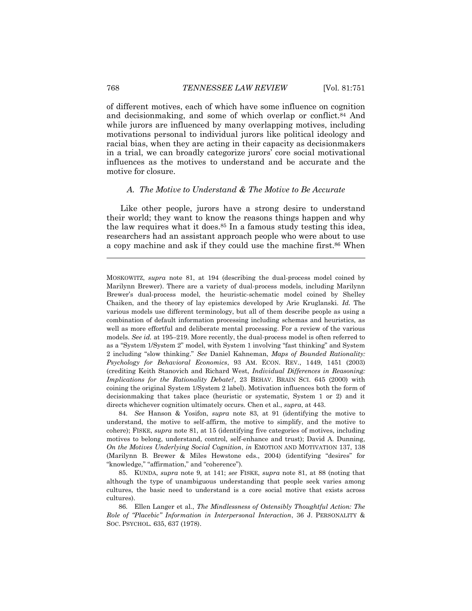of different motives, each of which have some influence on cognition and decisionmaking, and some of which overlap or conflict.<sup>84</sup> And while jurors are influenced by many overlapping motives, including motivations personal to individual jurors like political ideology and racial bias, when they are acting in their capacity as decisionmakers in a trial, we can broadly categorize jurors' core social motivational influences as the motives to understand and be accurate and the motive for closure.

#### <span id="page-18-0"></span>*A. The Motive to Understand & The Motive to Be Accurate*

Like other people, jurors have a strong desire to understand their world; they want to know the reasons things happen and why the law requires what it does.<sup>85</sup> In a famous study testing this idea, researchers had an assistant approach people who were about to use a copy machine and ask if they could use the machine first.<sup>86</sup> When

MOSKOWITZ, *supra* note 81, at 194 (describing the dual-process model coined by Marilynn Brewer). There are a variety of dual-process models, including Marilynn Brewer's dual-process model, the heuristic-schematic model coined by Shelley Chaiken, and the theory of lay epistemics developed by Arie Kruglanski. *Id.* The various models use different terminology, but all of them describe people as using a combination of default information processing including schemas and heuristics, as well as more effortful and deliberate mental processing. For a review of the various models. *See id.* at 195–219. More recently, the dual-process model is often referred to as a "System 1/System 2" model, with System 1 involving "fast thinking" and System 2 including "slow thinking." *See* Daniel Kahneman, *Maps of Bounded Rationality: Psychology for Behavioral Economics*, 93 AM. ECON. REV., 1449, 1451 (2003) (crediting Keith Stanovich and Richard West, *Individual Differences in Reasoning: Implications for the Rationality Debate?*, 23 BEHAV. BRAIN SCI. 645 (2000) with coining the original System 1/System 2 label). Motivation influences both the form of decisionmaking that takes place (heuristic or systematic, System 1 or 2) and it directs whichever cognition ultimately occurs. Chen et al., *supra*, at 443.

84. *See* Hanson & Yosifon, *supra* note 83, at 91 (identifying the motive to understand, the motive to self-affirm, the motive to simplify, and the motive to cohere); FISKE, *supra* note 81, at 15 (identifying five categories of motives, including motives to belong, understand, control, self-enhance and trust); David A. Dunning, *On the Motives Underlying Social Cognition*, *in* EMOTION AND MOTIVATION 137, 138 (Marilynn B. Brewer & Miles Hewstone eds., 2004) (identifying "desires" for "knowledge," "affirmation," and "coherence").

85. KUNDA, *supra* note 9, at 141; *see* FISKE, *supra* note 81, at 88 (noting that although the type of unambiguous understanding that people seek varies among cultures, the basic need to understand is a core social motive that exists across cultures).

86. Ellen Langer et al., *The Mindlessness of Ostensibly Thoughtful Action: The Role of "Placebic" Information in Interpersonal Interaction*, 36 J. PERSONALITY & SOC. PSYCHOL. 635, 637 (1978).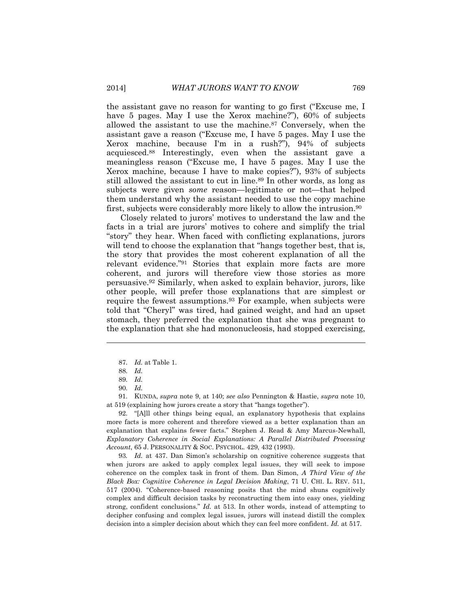the assistant gave no reason for wanting to go first ("Excuse me, I have 5 pages. May I use the Xerox machine?", 60% of subjects allowed the assistant to use the machine.<sup>87</sup> Conversely, when the assistant gave a reason ("Excuse me, I have 5 pages. May I use the Xerox machine, because I'm in a rush?"), 94% of subjects acquiesced.<sup>88</sup> Interestingly, even when the assistant gave a meaningless reason ("Excuse me, I have 5 pages. May I use the Xerox machine, because I have to make copies?"), 93% of subjects still allowed the assistant to cut in line.<sup>89</sup> In other words, as long as subjects were given *some* reason—legitimate or not—that helped them understand why the assistant needed to use the copy machine first, subjects were considerably more likely to allow the intrusion.<sup>90</sup>

Closely related to jurors' motives to understand the law and the facts in a trial are jurors' motives to cohere and simplify the trial "story" they hear. When faced with conflicting explanations, jurors will tend to choose the explanation that "hangs together best, that is, the story that provides the most coherent explanation of all the relevant evidence."<sup>91</sup> Stories that explain more facts are more coherent, and jurors will therefore view those stories as more persuasive.<sup>92</sup> Similarly, when asked to explain behavior, jurors, like other people, will prefer those explanations that are simplest or require the fewest assumptions.<sup>93</sup> For example, when subjects were told that "Cheryl" was tired, had gained weight, and had an upset stomach, they preferred the explanation that she was pregnant to the explanation that she had mononucleosis, had stopped exercising,

 $\overline{a}$ 

91. KUNDA, *supra* note 9, at 140; *see also* Pennington & Hastie, *supra* note 10, at 519 (explaining how jurors create a story that "hangs together").

92. "[A]ll other things being equal, an explanatory hypothesis that explains more facts is more coherent and therefore viewed as a better explanation than an explanation that explains fewer facts." Stephen J. Read & Amy Marcus-Newhall, *Explanatory Coherence in Social Explanations: A Parallel Distributed Processing Account*, 65 J. PERSONALITY & SOC. PSYCHOL. 429, 432 (1993).

93*. Id.* at 437. Dan Simon's scholarship on cognitive coherence suggests that when jurors are asked to apply complex legal issues, they will seek to impose coherence on the complex task in front of them. Dan Simon, *A Third View of the Black Box: Cognitive Coherence in Legal Decision Making*, 71 U. CHI. L. REV. 511, 517 (2004). "Coherence-based reasoning posits that the mind shuns cognitively complex and difficult decision tasks by reconstructing them into easy ones, yielding strong, confident conclusions." *Id.* at 513. In other words, instead of attempting to decipher confusing and complex legal issues, jurors will instead distill the complex decision into a simpler decision about which they can feel more confident. *Id.* at 517.

<sup>87.</sup> *Id.* at Table 1.

<sup>88.</sup> *Id.*

<sup>89.</sup> *Id.*

<sup>90.</sup> *Id.*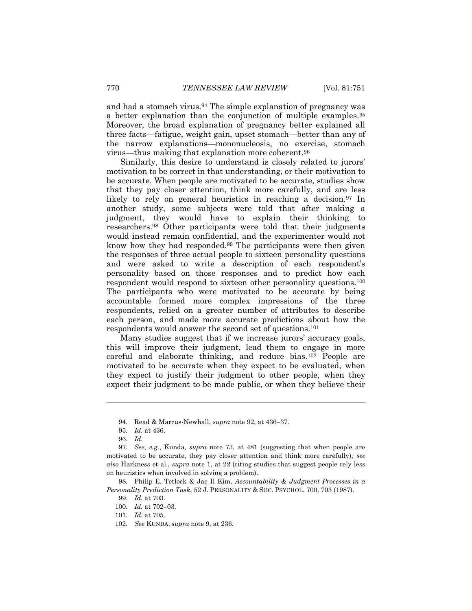and had a stomach virus.<sup>94</sup> The simple explanation of pregnancy was a better explanation than the conjunction of multiple examples.<sup>95</sup> Moreover, the broad explanation of pregnancy better explained all three facts—fatigue, weight gain, upset stomach—better than any of the narrow explanations—mononucleosis, no exercise, stomach virus—thus making that explanation more coherent.<sup>96</sup>

Similarly, this desire to understand is closely related to jurors' motivation to be correct in that understanding, or their motivation to be accurate. When people are motivated to be accurate, studies show that they pay closer attention, think more carefully, and are less likely to rely on general heuristics in reaching a decision.<sup>97</sup> In another study, some subjects were told that after making a judgment, they would have to explain their thinking to researchers.<sup>98</sup> Other participants were told that their judgments would instead remain confidential, and the experimenter would not know how they had responded.<sup>99</sup> The participants were then given the responses of three actual people to sixteen personality questions and were asked to write a description of each respondent's personality based on those responses and to predict how each respondent would respond to sixteen other personality questions.<sup>100</sup> The participants who were motivated to be accurate by being accountable formed more complex impressions of the three respondents, relied on a greater number of attributes to describe each person, and made more accurate predictions about how the respondents would answer the second set of questions.<sup>101</sup>

Many studies suggest that if we increase jurors' accuracy goals, this will improve their judgment, lead them to engage in more careful and elaborate thinking, and reduce bias.<sup>102</sup> People are motivated to be accurate when they expect to be evaluated, when they expect to justify their judgment to other people, when they expect their judgment to be made public, or when they believe their

 $\overline{a}$ 

98. Philip E. Tetlock & Jae Il Kim, *Accountability & Judgment Processes in a Personality Prediction Task*, 52 J. PERSONALITY & SOC. PSYCHOL. 700, 703 (1987).

<sup>94.</sup> Read & Marcus-Newhall, *supra* note 92, at 436–37.

<sup>95.</sup> *Id.* at 436.

<sup>96.</sup> *Id.*

<sup>97.</sup> *See, e.g.*, Kunda*, supra* note 73, at 481 (suggesting that when people are motivated to be accurate, they pay closer attention and think more carefully)*; see also* Harkness et al., *supra* note 1, at 22 (citing studies that suggest people rely less on heuristics when involved in solving a problem).

<sup>99.</sup> *Id.* at 703.

<sup>100.</sup> *Id.* at 702–03.

<sup>101.</sup> *Id.* at 705.

<sup>102.</sup> *See* KUNDA, *supra* note 9, at 236.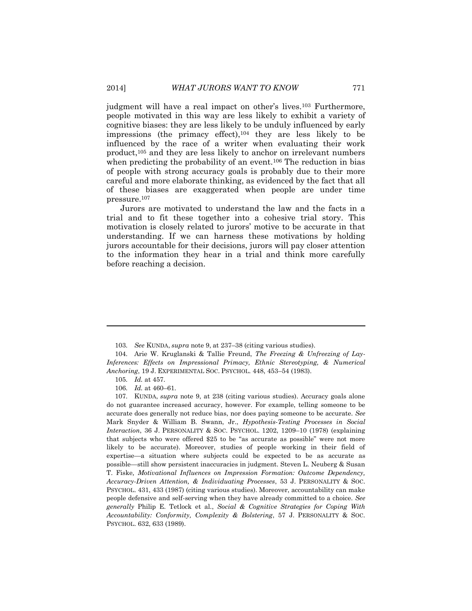judgment will have a real impact on other's lives.<sup>103</sup> Furthermore, people motivated in this way are less likely to exhibit a variety of cognitive biases: they are less likely to be unduly influenced by early impressions (the primacy effect), $104$  they are less likely to be influenced by the race of a writer when evaluating their work product, <sup>105</sup> and they are less likely to anchor on irrelevant numbers when predicting the probability of an event.<sup>106</sup> The reduction in bias of people with strong accuracy goals is probably due to their more careful and more elaborate thinking, as evidenced by the fact that all of these biases are exaggerated when people are under time pressure.<sup>107</sup>

Jurors are motivated to understand the law and the facts in a trial and to fit these together into a cohesive trial story. This motivation is closely related to jurors' motive to be accurate in that understanding. If we can harness these motivations by holding jurors accountable for their decisions, jurors will pay closer attention to the information they hear in a trial and think more carefully before reaching a decision.

<sup>103.</sup> *See* KUNDA, *supra* note 9, at 237–38 (citing various studies).

<sup>104.</sup> Arie W. Kruglanski & Tallie Freund, *The Freezing & Unfreezing of Lay-Inferences: Effects on Impressional Primacy, Ethnic Stereotyping, & Numerical Anchoring*, 19 J. EXPERIMENTAL SOC. PSYCHOL. 448, 453–54 (1983).

<sup>105.</sup> *Id.* at 457.

<sup>106.</sup> *Id.* at 460–61.

<sup>107.</sup> KUNDA, *supra* note 9, at 238 (citing various studies). Accuracy goals alone do not guarantee increased accuracy, however. For example, telling someone to be accurate does generally not reduce bias, nor does paying someone to be accurate. *See*  Mark Snyder & William B. Swann, Jr., *Hypothesis-Testing Processes in Social Interaction*, 36 J. PERSONALITY & SOC. PSYCHOL. 1202, 1209–10 (1978) (explaining that subjects who were offered \$25 to be "as accurate as possible" were not more likely to be accurate). Moreover, studies of people working in their field of expertise—a situation where subjects could be expected to be as accurate as possible—still show persistent inaccuracies in judgment. Steven L. Neuberg & Susan T. Fiske*, Motivational Influences on Impression Formation: Outcome Dependency, Accuracy-Driven Attention, & Individuating Processes*, 53 J. PERSONALITY & SOC. PSYCHOL. 431, 433 (1987) (citing various studies). Moreover, accountability can make people defensive and self-serving when they have already committed to a choice. *See generally* Philip E. Tetlock et al., *Social & Cognitive Strategies for Coping With Accountability: Conformity, Complexity & Bolstering*, 57 J. PERSONALITY & SOC. PSYCHOL. 632, 633 (1989).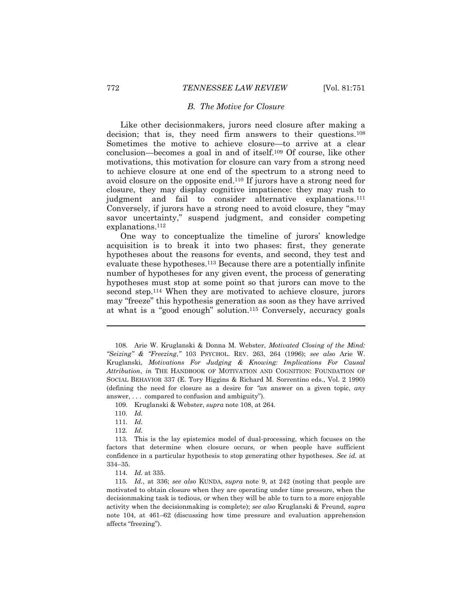#### *B. The Motive for Closure*

<span id="page-22-0"></span>Like other decisionmakers, jurors need closure after making a decision; that is, they need firm answers to their questions.<sup>108</sup> Sometimes the motive to achieve closure—to arrive at a clear conclusion—becomes a goal in and of itself.<sup>109</sup> Of course, like other motivations, this motivation for closure can vary from a strong need to achieve closure at one end of the spectrum to a strong need to avoid closure on the opposite end.<sup>110</sup> If jurors have a strong need for closure, they may display cognitive impatience: they may rush to judgment and fail to consider alternative explanations.<sup>111</sup> Conversely, if jurors have a strong need to avoid closure, they "may savor uncertainty," suspend judgment, and consider competing explanations.<sup>112</sup>

One way to conceptualize the timeline of jurors' knowledge acquisition is to break it into two phases: first, they generate hypotheses about the reasons for events, and second, they test and evaluate these hypotheses.<sup>113</sup> Because there are a potentially infinite number of hypotheses for any given event, the process of generating hypotheses must stop at some point so that jurors can move to the second step.<sup>114</sup> When they are motivated to achieve closure, jurors may "freeze" this hypothesis generation as soon as they have arrived at what is a "good enough" solution.<sup>115</sup> Conversely, accuracy goals

109. Kruglanski & Webster, *supra* note 108, at 264.

110. *Id.*

 $\overline{a}$ 

111. *Id.*

112. *Id.*

114. *Id.* at 335.

115. *Id.*, at 336; *see also* KUNDA, *supra* note 9, at 242 (noting that people are motivated to obtain closure when they are operating under time pressure, when the decisionmaking task is tedious, or when they will be able to turn to a more enjoyable activity when the decisionmaking is complete); *see also* Kruglanski & Freund, *supra*  note 104, at 461–62 (discussing how time pressure and evaluation apprehension affects "freezing").

<sup>108.</sup> Arie W. Kruglanski & Donna M. Webster, *Motivated Closing of the Mind: "Seizing" & "Freezing*,*"* 103 PSYCHOL. REV. 263, 264 (1996); *see also* Arie W. Kruglanski, *Motivations For Judging & Knowing: Implications For Causal Attribution*, *in* THE HANDBOOK OF MOTIVATION AND COGNITION: FOUNDATION OF SOCIAL BEHAVIOR 337 (E. Tory Higgins & Richard M. Sorrentino eds., Vol. 2 1990) (defining the need for closure as a desire for *"an* answer on a given topic, *any*  answer, . . . compared to confusion and ambiguity").

<sup>113.</sup> This is the lay epistemics model of dual-processing, which focuses on the factors that determine when closure occurs, or when people have sufficient confidence in a particular hypothesis to stop generating other hypotheses. *See id.* at 334–35.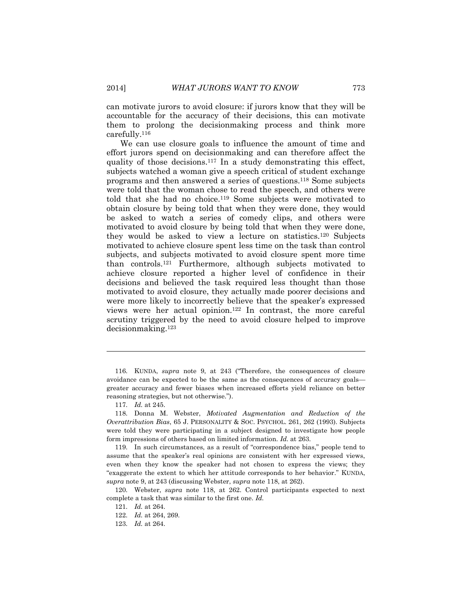can motivate jurors to avoid closure: if jurors know that they will be accountable for the accuracy of their decisions, this can motivate them to prolong the decisionmaking process and think more carefully.<sup>116</sup>

We can use closure goals to influence the amount of time and effort jurors spend on decisionmaking and can therefore affect the quality of those decisions.<sup>117</sup> In a study demonstrating this effect, subjects watched a woman give a speech critical of student exchange programs and then answered a series of questions.<sup>118</sup> Some subjects were told that the woman chose to read the speech, and others were told that she had no choice.<sup>119</sup> Some subjects were motivated to obtain closure by being told that when they were done, they would be asked to watch a series of comedy clips, and others were motivated to avoid closure by being told that when they were done, they would be asked to view a lecture on statistics.<sup>120</sup> Subjects motivated to achieve closure spent less time on the task than control subjects, and subjects motivated to avoid closure spent more time than controls.<sup>121</sup> Furthermore, although subjects motivated to achieve closure reported a higher level of confidence in their decisions and believed the task required less thought than those motivated to avoid closure, they actually made poorer decisions and were more likely to incorrectly believe that the speaker's expressed views were her actual opinion.<sup>122</sup> In contrast, the more careful scrutiny triggered by the need to avoid closure helped to improve decisionmaking.<sup>123</sup>

<sup>116.</sup> KUNDA, *supra* note 9, at 243 ("Therefore, the consequences of closure avoidance can be expected to be the same as the consequences of accuracy goals greater accuracy and fewer biases when increased efforts yield reliance on better reasoning strategies, but not otherwise.").

<sup>117.</sup> *Id.* at 245.

<sup>118.</sup> Donna M. Webster, *Motivated Augmentation and Reduction of the Overattribution Bias*, 65 J. PERSONALITY & SOC. PSYCHOL. 261, 262 (1993). Subjects were told they were participating in a subject designed to investigate how people form impressions of others based on limited information. *Id.* at 263.

<sup>119.</sup> In such circumstances, as a result of "correspondence bias," people tend to assume that the speaker's real opinions are consistent with her expressed views, even when they know the speaker had not chosen to express the views; they "exaggerate the extent to which her attitude corresponds to her behavior." KUNDA, *supra* note 9, at 243 (discussing Webster, *supra* note 118, at 262).

<sup>120.</sup> Webster, *supra* note 118, at 262. Control participants expected to next complete a task that was similar to the first one. *Id.*

<sup>121.</sup> *Id.* at 264.

<sup>122.</sup> *Id.* at 264, 269.

<sup>123.</sup> *Id.* at 264.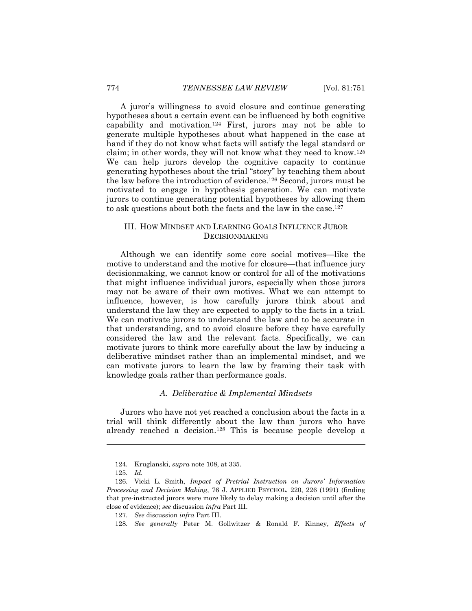A juror's willingness to avoid closure and continue generating hypotheses about a certain event can be influenced by both cognitive capability and motivation.<sup>124</sup> First, jurors may not be able to generate multiple hypotheses about what happened in the case at hand if they do not know what facts will satisfy the legal standard or claim; in other words, they will not know what they need to know.<sup>125</sup> We can help jurors develop the cognitive capacity to continue generating hypotheses about the trial "story" by teaching them about the law before the introduction of evidence.<sup>126</sup> Second, jurors must be motivated to engage in hypothesis generation. We can motivate jurors to continue generating potential hypotheses by allowing them to ask questions about both the facts and the law in the case.<sup>127</sup>

#### <span id="page-24-0"></span>III. HOW MINDSET AND LEARNING GOALS INFLUENCE JUROR DECISIONMAKING

Although we can identify some core social motives—like the motive to understand and the motive for closure—that influence jury decisionmaking, we cannot know or control for all of the motivations that might influence individual jurors, especially when those jurors may not be aware of their own motives. What we can attempt to influence, however, is how carefully jurors think about and understand the law they are expected to apply to the facts in a trial. We can motivate jurors to understand the law and to be accurate in that understanding, and to avoid closure before they have carefully considered the law and the relevant facts. Specifically, we can motivate jurors to think more carefully about the law by inducing a deliberative mindset rather than an implemental mindset, and we can motivate jurors to learn the law by framing their task with knowledge goals rather than performance goals.

#### *A. Deliberative & Implemental Mindsets*

<span id="page-24-1"></span>Jurors who have not yet reached a conclusion about the facts in a trial will think differently about the law than jurors who have already reached a decision.<sup>128</sup> This is because people develop a

<sup>124.</sup> Kruglanski, *supra* note 108, at 335.

<sup>125.</sup> *Id.*

<sup>126.</sup> Vicki L. Smith, *Impact of Pretrial Instruction on Jurors' Information Processing and Decision Making*, 76 J. APPLIED PSYCHOL. 220, 226 (1991) (finding that pre-instructed jurors were more likely to delay making a decision until after the close of evidence); *see* discussion *infra* Part III.

<sup>127.</sup> *See* discussion *infra* Part III.

<sup>128.</sup> *See generally* Peter M. Gollwitzer & Ronald F. Kinney, *Effects of*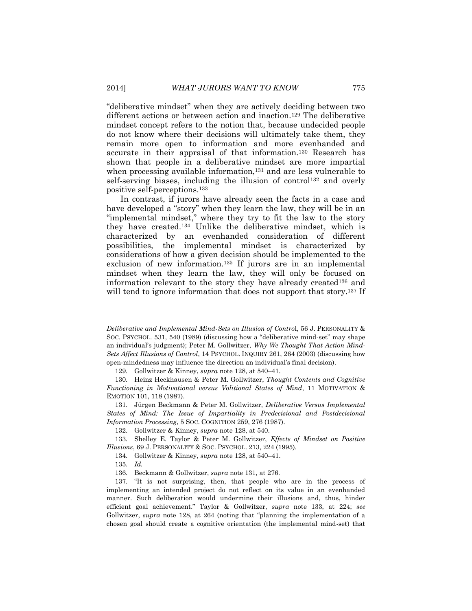"deliberative mindset" when they are actively deciding between two different actions or between action and inaction.<sup>129</sup> The deliberative mindset concept refers to the notion that, because undecided people do not know where their decisions will ultimately take them, they remain more open to information and more evenhanded and accurate in their appraisal of that information.<sup>130</sup> Research has shown that people in a deliberative mindset are more impartial when processing available information,<sup>131</sup> and are less vulnerable to self-serving biases, including the illusion of control<sup>132</sup> and overly positive self-perceptions.<sup>133</sup>

In contrast, if jurors have already seen the facts in a case and have developed a "story" when they learn the law, they will be in an "implemental mindset," where they try to fit the law to the story they have created.<sup>134</sup> Unlike the deliberative mindset, which is characterized by an evenhanded consideration of different possibilities, the implemental mindset is characterized by considerations of how a given decision should be implemented to the exclusion of new information.<sup>135</sup> If jurors are in an implemental mindset when they learn the law, they will only be focused on information relevant to the story they have already created<sup>136</sup> and will tend to ignore information that does not support that story.<sup>137</sup> If

129. Gollwitzer & Kinney, *supra* note 128, at 540–41.

130. Heinz Heckhausen & Peter M. Gollwitzer, *Thought Contents and Cognitive Functioning in Motivational versus Volitional States of Mind*, 11 MOTIVATION & EMOTION 101, 118 (1987).

131. Jürgen Beckmann & Peter M. Gollwitzer, *Deliberative Versus Implemental States of Mind: The Issue of Impartiality in Predecisional and Postdecisional Information Processing*, 5 SOC. COGNITION 259, 276 (1987).

132. Gollwitzer & Kinney, *supra* note 128, at 540.

133. Shelley E. Taylor & Peter M. Gollwitzer, *Effects of Mindset on Positive Illusions*, 69 J. PERSONALITY & SOC. PSYCHOL. 213, 224 (1995).

134. Gollwitzer & Kinney, *supra* note 128, at 540–41.

135. *Id.*

 $\overline{a}$ 

137. "It is not surprising, then, that people who are in the process of implementing an intended project do not reflect on its value in an evenhanded manner. Such deliberation would undermine their illusions and, thus, hinder efficient goal achievement." Taylor & Gollwitzer, *supra* note 133, at 224; *see*  Gollwitzer, *supra* note 128, at 264 (noting that "planning the implementation of a chosen goal should create a cognitive orientation (the implemental mind-set) that

*Deliberative and Implemental Mind-Sets on Illusion of Contro*l, 56 J. PERSONALITY & SOC. PSYCHOL. 531, 540 (1989) (discussing how a "deliberative mind-set" may shape an individual's judgment); Peter M. Gollwitzer, *Why We Thought That Action Mind-Sets Affect Illusions of Control*, 14 PSYCHOL. INQUIRY 261, 264 (2003) (discussing how open-mindedness may influence the direction an individual's final decision).

<sup>136.</sup> Beckmann & Gollwitzer, *supra* note 131, at 276.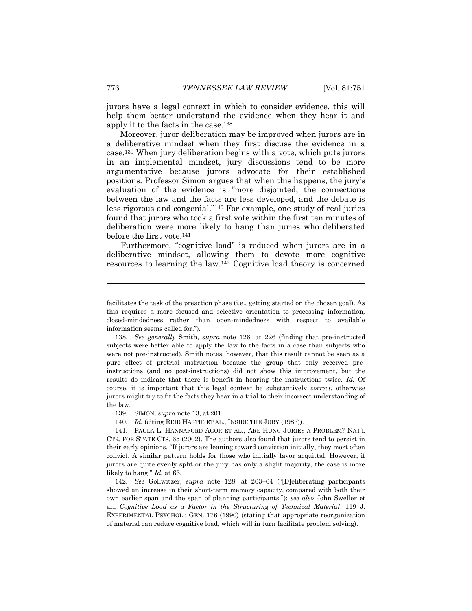jurors have a legal context in which to consider evidence, this will help them better understand the evidence when they hear it and apply it to the facts in the case.<sup>138</sup>

Moreover, juror deliberation may be improved when jurors are in a deliberative mindset when they first discuss the evidence in a case.<sup>139</sup> When jury deliberation begins with a vote, which puts jurors in an implemental mindset, jury discussions tend to be more argumentative because jurors advocate for their established positions. Professor Simon argues that when this happens, the jury's evaluation of the evidence is "more disjointed, the connections between the law and the facts are less developed, and the debate is less rigorous and congenial."<sup>140</sup> For example, one study of real juries found that jurors who took a first vote within the first ten minutes of deliberation were more likely to hang than juries who deliberated before the first vote.<sup>141</sup>

Furthermore, "cognitive load" is reduced when jurors are in a deliberative mindset, allowing them to devote more cognitive resources to learning the law.<sup>142</sup> Cognitive load theory is concerned

140. *Id.* (citing REID HASTIE ET AL., INSIDE THE JURY (1983)).

141. PAULA L. HANNAFORD-AGOR ET AL., ARE HUNG JURIES A PROBLEM? NAT'L CTR. FOR STATE CTS. 65 (2002). The authors also found that jurors tend to persist in their early opinions. "If jurors are leaning toward conviction initially, they most often convict. A similar pattern holds for those who initially favor acquittal. However, if jurors are quite evenly split or the jury has only a slight majority, the case is more likely to hang." *Id.* at 66.

142. *See* Gollwitzer, *supra* note 128, at 263–64 ("[D]eliberating participants showed an increase in their short-term memory capacity, compared with both their own earlier span and the span of planning participants."); *see also* John Sweller et al., *Cognitive Load as a Factor in the Structuring of Technical Material*, 119 J. EXPERIMENTAL PSYCHOL.: GEN. 176 (1990) (stating that appropriate reorganization of material can reduce cognitive load, which will in turn facilitate problem solving).

facilitates the task of the preaction phase (i.e., getting started on the chosen goal). As this requires a more focused and selective orientation to processing information, closed-mindedness rather than open-mindedness with respect to available information seems called for.").

<sup>138.</sup> *See generally* Smith, *supra* note 126, at 226 (finding that pre-instructed subjects were better able to apply the law to the facts in a case than subjects who were not pre-instructed). Smith notes, however, that this result cannot be seen as a pure effect of pretrial instruction because the group that only received preinstructions (and no post-instructions) did not show this improvement, but the results do indicate that there is benefit in hearing the instructions twice. *Id.* Of course, it is important that this legal context be substantively *correct*, otherwise jurors might try to fit the facts they hear in a trial to their incorrect understanding of the law.

<sup>139.</sup> SIMON, *supra* note 13, at 201.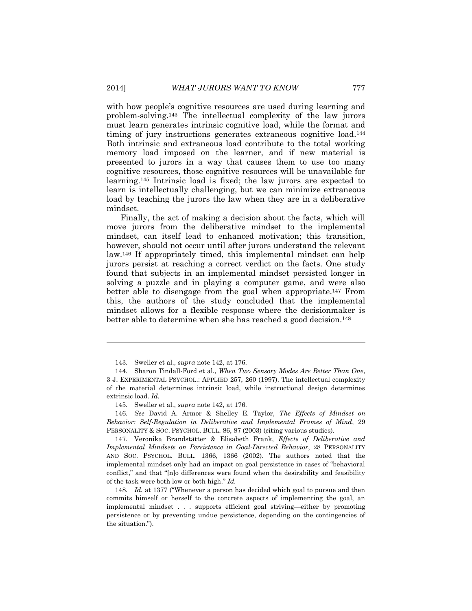with how people's cognitive resources are used during learning and problem-solving.<sup>143</sup> The intellectual complexity of the law jurors must learn generates intrinsic cognitive load, while the format and timing of jury instructions generates extraneous cognitive load.<sup>144</sup> Both intrinsic and extraneous load contribute to the total working memory load imposed on the learner, and if new material is presented to jurors in a way that causes them to use too many cognitive resources, those cognitive resources will be unavailable for learning.<sup>145</sup> Intrinsic load is fixed; the law jurors are expected to learn is intellectually challenging, but we can minimize extraneous load by teaching the jurors the law when they are in a deliberative mindset.

Finally, the act of making a decision about the facts, which will move jurors from the deliberative mindset to the implemental mindset, can itself lead to enhanced motivation; this transition, however, should not occur until after jurors understand the relevant law.<sup>146</sup> If appropriately timed, this implemental mindset can help jurors persist at reaching a correct verdict on the facts. One study found that subjects in an implemental mindset persisted longer in solving a puzzle and in playing a computer game, and were also better able to disengage from the goal when appropriate.<sup>147</sup> From this, the authors of the study concluded that the implemental mindset allows for a flexible response where the decisionmaker is better able to determine when she has reached a good decision.<sup>148</sup>

146. *See* David A. Armor & Shelley E. Taylor, *The Effects of Mindset on Behavior: Self-Regulation in Deliberative and Implemental Frames of Mind*, 29 PERSONALITY & SOC. PSYCHOL. BULL. 86, 87 (2003) (citing various studies).

147. Veronika Brandstätter & Elisabeth Frank, *Effects of Deliberative and Implemental Mindsets on Persistence in Goal-Directed Behavior*, 28 PERSONALITY AND SOC. PSYCHOL. BULL. 1366, 1366 (2002). The authors noted that the implemental mindset only had an impact on goal persistence in cases of "behavioral conflict," and that "[n]o differences were found when the desirability and feasibility of the task were both low or both high." *Id.*

148. *Id.* at 1377 ("Whenever a person has decided which goal to pursue and then commits himself or herself to the concrete aspects of implementing the goal, an implemental mindset . . . supports efficient goal striving—either by promoting persistence or by preventing undue persistence, depending on the contingencies of the situation.").

<sup>143.</sup> Sweller et al., *supra* note 142, at 176.

<sup>144.</sup> Sharon Tindall-Ford et al., *When Two Sensory Modes Are Better Than One*, 3 J. EXPERIMENTAL PSYCHOL.: APPLIED 257, 260 (1997). The intellectual complexity of the material determines intrinsic load, while instructional design determines extrinsic load. *Id.*

<sup>145.</sup> Sweller et al., *supra* note 142, at 176.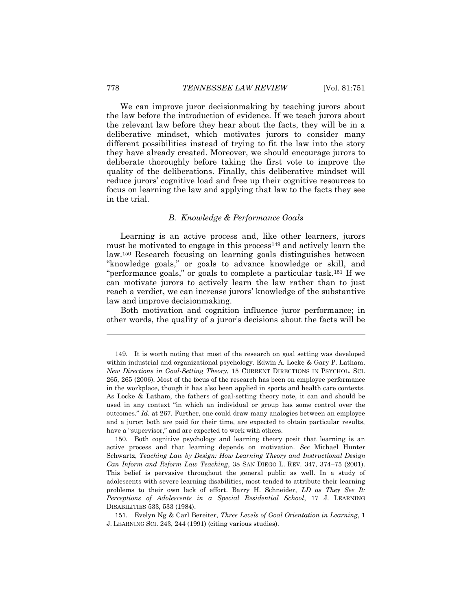We can improve juror decisionmaking by teaching jurors about the law before the introduction of evidence. If we teach jurors about the relevant law before they hear about the facts, they will be in a deliberative mindset, which motivates jurors to consider many different possibilities instead of trying to fit the law into the story they have already created. Moreover, we should encourage jurors to deliberate thoroughly before taking the first vote to improve the quality of the deliberations. Finally, this deliberative mindset will reduce jurors' cognitive load and free up their cognitive resources to focus on learning the law and applying that law to the facts they see in the trial.

#### *B. Knowledge & Performance Goals*

<span id="page-28-0"></span>Learning is an active process and, like other learners, jurors must be motivated to engage in this process<sup>149</sup> and actively learn the law.<sup>150</sup> Research focusing on learning goals distinguishes between "knowledge goals," or goals to advance knowledge or skill, and "performance goals," or goals to complete a particular task.<sup>151</sup> If we can motivate jurors to actively learn the law rather than to just reach a verdict, we can increase jurors' knowledge of the substantive law and improve decisionmaking.

Both motivation and cognition influence juror performance; in other words, the quality of a juror's decisions about the facts will be

151. Evelyn Ng & Carl Bereiter, *Three Levels of Goal Orientation in Learning*, 1 J. LEARNING SCI. 243, 244 (1991) (citing various studies).

<sup>149.</sup> It is worth noting that most of the research on goal setting was developed within industrial and organizational psychology. Edwin A. Locke & Gary P. Latham, *New Directions in Goal-Setting Theory*, 15 CURRENT DIRECTIONS IN PSYCHOL. SCI. 265, 265 (2006). Most of the focus of the research has been on employee performance in the workplace, though it has also been applied in sports and health care contexts. As Locke & Latham, the fathers of goal-setting theory note, it can and should be used in any context "in which an individual or group has some control over the outcomes." *Id.* at 267. Further, one could draw many analogies between an employee and a juror; both are paid for their time, are expected to obtain particular results, have a "supervisor," and are expected to work with others.

<sup>150.</sup> Both cognitive psychology and learning theory posit that learning is an active process and that learning depends on motivation*. See* Michael Hunter Schwartz, *Teaching Law by Design: How Learning Theory and Instructional Design Can Inform and Reform Law Teaching*, 38 SAN DIEGO L. REV. 347, 374–75 (2001). This belief is pervasive throughout the general public as well. In a study of adolescents with severe learning disabilities, most tended to attribute their learning problems to their own lack of effort. Barry H. Schneider, *LD as They See It: Perceptions of Adolescents in a Special Residential School*, 17 J. LEARNING DISABILITIES 533, 533 (1984).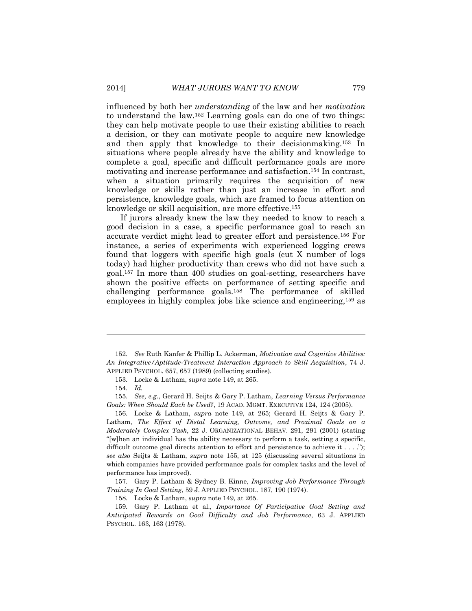influenced by both her *understanding* of the law and her *motivation* to understand the law.<sup>152</sup> Learning goals can do one of two things: they can help motivate people to use their existing abilities to reach a decision, or they can motivate people to acquire new knowledge and then apply that knowledge to their decisionmaking.<sup>153</sup> In situations where people already have the ability and knowledge to complete a goal, specific and difficult performance goals are more motivating and increase performance and satisfaction.<sup>154</sup> In contrast, when a situation primarily requires the acquisition of new knowledge or skills rather than just an increase in effort and persistence, knowledge goals, which are framed to focus attention on knowledge or skill acquisition, are more effective.<sup>155</sup>

If jurors already knew the law they needed to know to reach a good decision in a case, a specific performance goal to reach an accurate verdict might lead to greater effort and persistence.<sup>156</sup> For instance, a series of experiments with experienced logging crews found that loggers with specific high goals (cut X number of logs today) had higher productivity than crews who did not have such a goal.<sup>157</sup> In more than 400 studies on goal-setting, researchers have shown the positive effects on performance of setting specific and challenging performance goals.<sup>158</sup> The performance of skilled employees in highly complex jobs like science and engineering,<sup>159</sup> as

153. Locke & Latham, *supra* note 149, at 265.

 $\overline{a}$ 

157. Gary P. Latham & Sydney B. Kinne*, Improving Job Performance Through Training In Goal Setting*, 59 J. APPLIED PSYCHOL. 187, 190 (1974).

158. Locke & Latham, *supra* note 149, at 265.

<sup>152.</sup> *See* Ruth Kanfer & Phillip L. Ackerman, *Motivation and Cognitive Abilities: An Integrative/Aptitude-Treatment Interaction Approach to Skill Acquisition*, 74 J. APPLIED PSYCHOL. 657, 657 (1989) (collecting studies).

<sup>154.</sup> *Id.*

<sup>155.</sup> *See, e.g.*, Gerard H. Seijts & Gary P. Latham, *Learning Versus Performance Goals: When Should Each be Used?*, 19 ACAD. MGMT. EXECUTIVE 124, 124 (2005).

<sup>156.</sup> Locke & Latham, *supra* note 149, at 265; Gerard H. Seijts & Gary P. Latham, *The Effect of Distal Learning, Outcome, and Proximal Goals on a Moderately Complex Task*, 22 J. ORGANIZATIONAL BEHAV. 291, 291 (2001) (stating "[w]hen an individual has the ability necessary to perform a task, setting a specific, difficult outcome goal directs attention to effort and persistence to achieve it . . . ."); *see also* Seijts & Latham, *supra* note 155, at 125 (discussing several situations in which companies have provided performance goals for complex tasks and the level of performance has improved).

<sup>159.</sup> Gary P. Latham et al., *Importance Of Participative Goal Setting and Anticipated Rewards on Goal Difficulty and Job Performance*, 63 J. APPLIED PSYCHOL. 163, 163 (1978).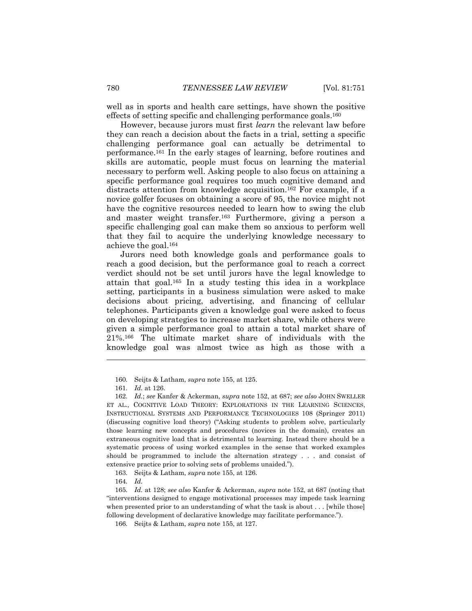well as in sports and health care settings, have shown the positive effects of setting specific and challenging performance goals. 160

However, because jurors must first *learn* the relevant law before they can reach a decision about the facts in a trial, setting a specific challenging performance goal can actually be detrimental to performance.<sup>161</sup> In the early stages of learning, before routines and skills are automatic, people must focus on learning the material necessary to perform well. Asking people to also focus on attaining a specific performance goal requires too much cognitive demand and distracts attention from knowledge acquisition.<sup>162</sup> For example, if a novice golfer focuses on obtaining a score of 95, the novice might not have the cognitive resources needed to learn how to swing the club and master weight transfer.<sup>163</sup> Furthermore, giving a person a specific challenging goal can make them so anxious to perform well that they fail to acquire the underlying knowledge necessary to achieve the goal.<sup>164</sup>

Jurors need both knowledge goals and performance goals to reach a good decision, but the performance goal to reach a correct verdict should not be set until jurors have the legal knowledge to attain that goal.<sup>165</sup> In a study testing this idea in a workplace setting, participants in a business simulation were asked to make decisions about pricing, advertising, and financing of cellular telephones. Participants given a knowledge goal were asked to focus on developing strategies to increase market share, while others were given a simple performance goal to attain a total market share of 21%.<sup>166</sup> The ultimate market share of individuals with the knowledge goal was almost twice as high as those with a

<sup>160.</sup> Seijts & Latham, *supra* note 155, at 125.

<sup>161.</sup> *Id.* at 126.

<sup>162.</sup> *Id.*; *see* Kanfer & Ackerman, *supra* note 152, at 687; *see also* JOHN SWELLER ET AL., COGNITIVE LOAD THEORY: EXPLORATIONS IN THE LEARNING SCIENCES, INSTRUCTIONAL SYSTEMS AND PERFORMANCE TECHNOLOGIES 108 (Springer 2011) (discussing cognitive load theory) ("Asking students to problem solve, particularly those learning new concepts and procedures (novices in the domain), creates an extraneous cognitive load that is detrimental to learning. Instead there should be a systematic process of using worked examples in the sense that worked examples should be programmed to include the alternation strategy . . . and consist of extensive practice prior to solving sets of problems unaided.").

<sup>163.</sup> Seijts & Latham, *supra* note 155, at 126.

<sup>164.</sup> *Id.*

<sup>165.</sup> *Id.* at 128; *see also* Kanfer & Ackerman, *supra* note 152, at 687 (noting that "interventions designed to engage motivational processes may impede task learning when presented prior to an understanding of what the task is about . . . [while those] following development of declarative knowledge may facilitate performance.").

<sup>166.</sup> Seijts & Latham, *supra* note 155, at 127.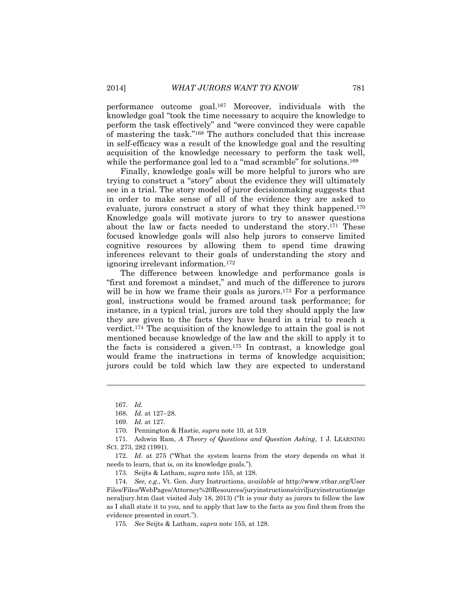performance outcome goal.<sup>167</sup> Moreover, individuals with the knowledge goal "took the time necessary to acquire the knowledge to perform the task effectively" and "were convinced they were capable of mastering the task."<sup>168</sup> The authors concluded that this increase in self-efficacy was a result of the knowledge goal and the resulting acquisition of the knowledge necessary to perform the task well, while the performance goal led to a "mad scramble" for solutions.<sup>169</sup>

Finally, knowledge goals will be more helpful to jurors who are trying to construct a "story" about the evidence they will ultimately see in a trial. The story model of juror decisionmaking suggests that in order to make sense of all of the evidence they are asked to evaluate, jurors construct a story of what they think happened.<sup>170</sup> Knowledge goals will motivate jurors to try to answer questions about the law or facts needed to understand the story.<sup>171</sup> These focused knowledge goals will also help jurors to conserve limited cognitive resources by allowing them to spend time drawing inferences relevant to their goals of understanding the story and ignoring irrelevant information.<sup>172</sup>

The difference between knowledge and performance goals is "first and foremost a mindset," and much of the difference to jurors will be in how we frame their goals as jurors.<sup>173</sup> For a performance goal, instructions would be framed around task performance; for instance, in a typical trial, jurors are told they should apply the law they are given to the facts they have heard in a trial to reach a verdict.<sup>174</sup> The acquisition of the knowledge to attain the goal is not mentioned because knowledge of the law and the skill to apply it to the facts is considered a given.<sup>175</sup> In contrast, a knowledge goal would frame the instructions in terms of knowledge acquisition; jurors could be told which law they are expected to understand

 $\overline{a}$ 

173. Seijts & Latham, *supra* note 155, at 128.

174. *See, e.g.*, Vt. Gen. Jury Instructions, *available at* http://www.vtbar.org/User Files/Files/WebPages/Attorney%20Resources/juryinstructions/civiljuryinstructions/ge neraljury.htm (last visited July 18, 2013) ("It is your duty as jurors to follow the law as I shall state it to you, and to apply that law to the facts as you find them from the evidence presented in court.").

175. *See* Seijts & Latham, *supra* note 155, at 128.

<sup>167.</sup> *Id.*

<sup>168.</sup> *Id.* at 127–28.

<sup>169.</sup> *Id.* at 127.

<sup>170.</sup> Pennington & Hastie, *supra* note 10, at 519.

<sup>171.</sup> Ashwin Ram, *A Theory of Questions and Question Asking*, 1 J. LEARNING SCI. 273, 282 (1991).

<sup>172.</sup> *Id.* at 275 ("What the system learns from the story depends on what it needs to learn, that is, on its knowledge goals.").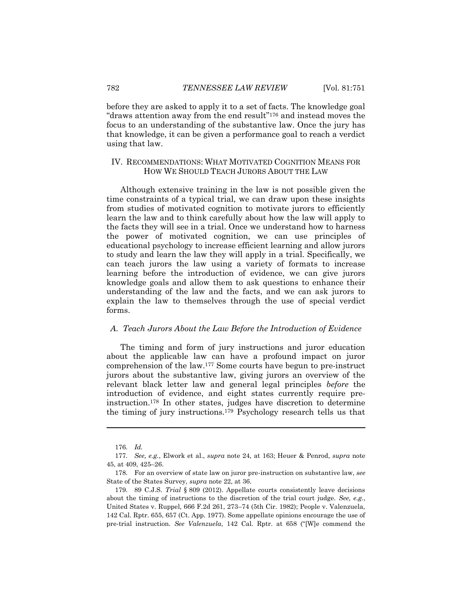before they are asked to apply it to a set of facts. The knowledge goal "draws attention away from the end result"<sup>176</sup> and instead moves the focus to an understanding of the substantive law. Once the jury has that knowledge, it can be given a performance goal to reach a verdict using that law.

#### <span id="page-32-0"></span>IV. RECOMMENDATIONS: WHAT MOTIVATED COGNITION MEANS FOR HOW WE SHOULD TEACH JURORS ABOUT THE LAW

Although extensive training in the law is not possible given the time constraints of a typical trial, we can draw upon these insights from studies of motivated cognition to motivate jurors to efficiently learn the law and to think carefully about how the law will apply to the facts they will see in a trial. Once we understand how to harness the power of motivated cognition, we can use principles of educational psychology to increase efficient learning and allow jurors to study and learn the law they will apply in a trial. Specifically, we can teach jurors the law using a variety of formats to increase learning before the introduction of evidence, we can give jurors knowledge goals and allow them to ask questions to enhance their understanding of the law and the facts, and we can ask jurors to explain the law to themselves through the use of special verdict forms.

#### <span id="page-32-1"></span>*A. Teach Jurors About the Law Before the Introduction of Evidence*

The timing and form of jury instructions and juror education about the applicable law can have a profound impact on juror comprehension of the law.<sup>177</sup> Some courts have begun to pre-instruct jurors about the substantive law, giving jurors an overview of the relevant black letter law and general legal principles *before* the introduction of evidence, and eight states currently require preinstruction. <sup>178</sup> In other states, judges have discretion to determine the timing of jury instructions.<sup>179</sup> Psychology research tells us that

<sup>176.</sup> *Id.*

<sup>177.</sup> *See, e.g.*, Elwork et al., *supra* note 24, at 163; Heuer & Penrod, *supra* note 45, at 409, 425–26.

<sup>178.</sup> For an overview of state law on juror pre-instruction on substantive law, *see*  State of the States Survey, *supra* note 22, at 36.

<sup>179.</sup> 89 C.J.S. *Trial* § 809 (2012). Appellate courts consistently leave decisions about the timing of instructions to the discretion of the trial court judge. *See, e.g.*, United States v. Ruppel, 666 F.2d 261, 273–74 (5th Cir. 1982); People v. Valenzuela, 142 Cal. Rptr. 655, 657 (Ct. App. 1977). Some appellate opinions encourage the use of pre-trial instruction. *See Valenzuela*, 142 Cal. Rptr. at 658 ("[W]e commend the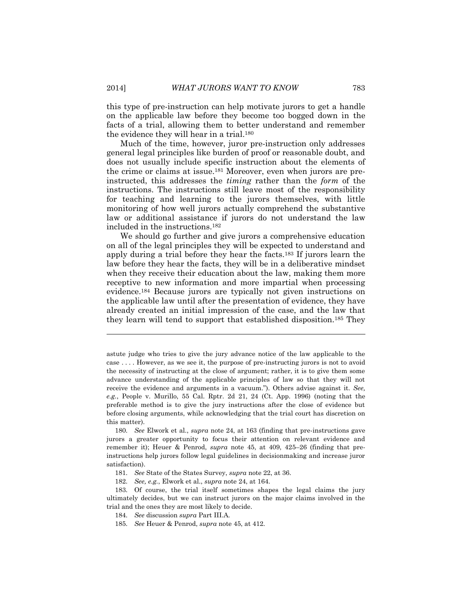this type of pre-instruction can help motivate jurors to get a handle on the applicable law before they become too bogged down in the facts of a trial, allowing them to better understand and remember the evidence they will hear in a trial.<sup>180</sup>

Much of the time, however, juror pre-instruction only addresses general legal principles like burden of proof or reasonable doubt, and does not usually include specific instruction about the elements of the crime or claims at issue.<sup>181</sup> Moreover, even when jurors are preinstructed, this addresses the *timing* rather than the *form* of the instructions. The instructions still leave most of the responsibility for teaching and learning to the jurors themselves, with little monitoring of how well jurors actually comprehend the substantive law or additional assistance if jurors do not understand the law included in the instructions.<sup>182</sup>

We should go further and give jurors a comprehensive education on all of the legal principles they will be expected to understand and apply during a trial before they hear the facts.<sup>183</sup> If jurors learn the law before they hear the facts, they will be in a deliberative mindset when they receive their education about the law, making them more receptive to new information and more impartial when processing evidence.<sup>184</sup> Because jurors are typically not given instructions on the applicable law until after the presentation of evidence, they have already created an initial impression of the case, and the law that they learn will tend to support that established disposition.<sup>185</sup> They

- 181. *See* State of the States Survey, *supra* note 22, at 36.
- 182. *See, e.g.*, Elwork et al., *supra* note 24, at 164.

astute judge who tries to give the jury advance notice of the law applicable to the case . . . . However, as we see it, the purpose of pre-instructing jurors is not to avoid the necessity of instructing at the close of argument; rather, it is to give them some advance understanding of the applicable principles of law so that they will not receive the evidence and arguments in a vacuum."). Others advise against it. *See, e.g.*, People v. Murillo, 55 Cal. Rptr. 2d 21, 24 (Ct. App. 1996) (noting that the preferable method is to give the jury instructions after the close of evidence but before closing arguments, while acknowledging that the trial court has discretion on this matter).

<sup>180.</sup> *See* Elwork et al., *supra* note 24, at 163 (finding that pre-instructions gave jurors a greater opportunity to focus their attention on relevant evidence and remember it); Heuer & Penrod, *supra* note 45, at 409, 425–26 (finding that preinstructions help jurors follow legal guidelines in decisionmaking and increase juror satisfaction).

<sup>183.</sup> Of course, the trial itself sometimes shapes the legal claims the jury ultimately decides, but we can instruct jurors on the major claims involved in the trial and the ones they are most likely to decide.

<sup>184.</sup> *See* discussion *supra* Part III.A.

<sup>185.</sup> *See* Heuer & Penrod, *supra* note 45, at 412.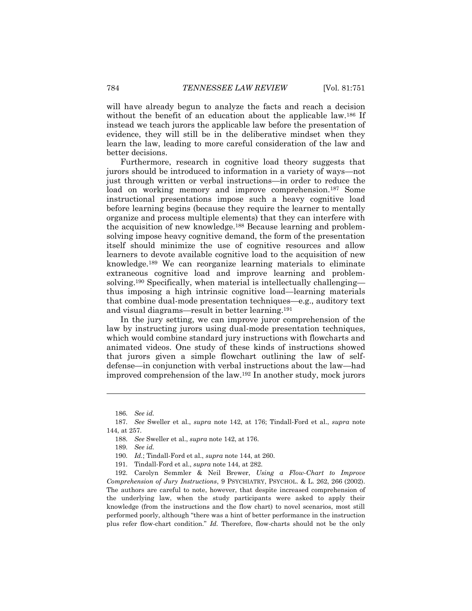will have already begun to analyze the facts and reach a decision without the benefit of an education about the applicable law.<sup>186</sup> If instead we teach jurors the applicable law before the presentation of evidence, they will still be in the deliberative mindset when they learn the law, leading to more careful consideration of the law and better decisions.

Furthermore, research in cognitive load theory suggests that jurors should be introduced to information in a variety of ways—not just through written or verbal instructions—in order to reduce the load on working memory and improve comprehension.<sup>187</sup> Some instructional presentations impose such a heavy cognitive load before learning begins (because they require the learner to mentally organize and process multiple elements) that they can interfere with the acquisition of new knowledge.<sup>188</sup> Because learning and problemsolving impose heavy cognitive demand, the form of the presentation itself should minimize the use of cognitive resources and allow learners to devote available cognitive load to the acquisition of new knowledge.<sup>189</sup> We can reorganize learning materials to eliminate extraneous cognitive load and improve learning and problemsolving.<sup>190</sup> Specifically, when material is intellectually challenging thus imposing a high intrinsic cognitive load—learning materials that combine dual-mode presentation techniques—e.g., auditory text and visual diagrams—result in better learning.<sup>191</sup>

In the jury setting, we can improve juror comprehension of the law by instructing jurors using dual-mode presentation techniques, which would combine standard jury instructions with flowcharts and animated videos. One study of these kinds of instructions showed that jurors given a simple flowchart outlining the law of selfdefense—in conjunction with verbal instructions about the law—had improved comprehension of the law.<sup>192</sup> In another study, mock jurors

<sup>186.</sup> *See id.*

<sup>187.</sup> *See* Sweller et al., *supra* note 142, at 176; Tindall-Ford et al., *supra* note 144, at 257.

<sup>188.</sup> *See* Sweller et al., *supra* note 142, at 176.

<sup>189.</sup> *See id.*

<sup>190.</sup> *Id.*; Tindall-Ford et al., *supra* note 144, at 260.

<sup>191.</sup> Tindall-Ford et al., *supra* note 144, at 282.

<sup>192.</sup> Carolyn Semmler & Neil Brewer, *Using a Flow-Chart to Improve Comprehension of Jury Instructions*, 9 PSYCHIATRY, PSYCHOL. & L. 262, 266 (2002). The authors are careful to note, however, that despite increased comprehension of the underlying law, when the study participants were asked to apply their knowledge (from the instructions and the flow chart) to novel scenarios, most still performed poorly, although "there was a hint of better performance in the instruction plus refer flow-chart condition." *Id.* Therefore, flow-charts should not be the only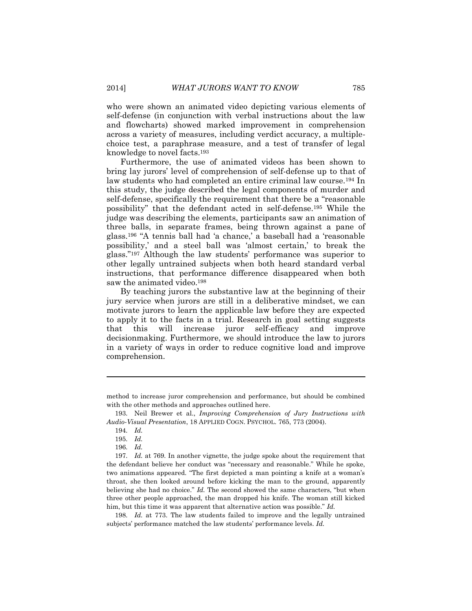who were shown an animated video depicting various elements of self-defense (in conjunction with verbal instructions about the law and flowcharts) showed marked improvement in comprehension across a variety of measures, including verdict accuracy, a multiplechoice test, a paraphrase measure, and a test of transfer of legal knowledge to novel facts.<sup>193</sup>

Furthermore, the use of animated videos has been shown to bring lay jurors' level of comprehension of self-defense up to that of law students who had completed an entire criminal law course.<sup>194</sup> In this study, the judge described the legal components of murder and self-defense, specifically the requirement that there be a "reasonable possibility" that the defendant acted in self-defense.<sup>195</sup> While the judge was describing the elements, participants saw an animation of three balls, in separate frames, being thrown against a pane of glass.<sup>196</sup> "A tennis ball had 'a chance,' a baseball had a 'reasonable possibility,' and a steel ball was 'almost certain,' to break the glass."<sup>197</sup> Although the law students' performance was superior to other legally untrained subjects when both heard standard verbal instructions, that performance difference disappeared when both saw the animated video.<sup>198</sup>

By teaching jurors the substantive law at the beginning of their jury service when jurors are still in a deliberative mindset, we can motivate jurors to learn the applicable law before they are expected to apply it to the facts in a trial. Research in goal setting suggests that this will increase juror self-efficacy and improve decisionmaking. Furthermore, we should introduce the law to jurors in a variety of ways in order to reduce cognitive load and improve comprehension.

 $\overline{a}$ 

198. *Id.* at 773. The law students failed to improve and the legally untrained subjects' performance matched the law students' performance levels. *Id.*

method to increase juror comprehension and performance, but should be combined with the other methods and approaches outlined here.

<sup>193.</sup> Neil Brewer et al., *Improving Comprehension of Jury Instructions with Audio-Visual Presentation*, 18 APPLIED COGN. PSYCHOL. 765, 773 (2004).

<sup>194.</sup> *Id.*

<sup>195.</sup> *Id.*

<sup>196.</sup> *Id.*

<sup>197.</sup> *Id.* at 769. In another vignette, the judge spoke about the requirement that the defendant believe her conduct was "necessary and reasonable." While he spoke, two animations appeared. "The first depicted a man pointing a knife at a woman's throat, she then looked around before kicking the man to the ground, apparently believing she had no choice." *Id.* The second showed the same characters, "but when three other people approached, the man dropped his knife. The woman still kicked him, but this time it was apparent that alternative action was possible." *Id.*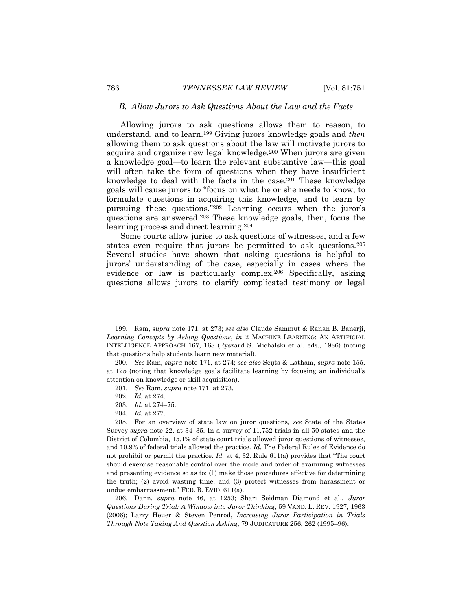#### <span id="page-36-0"></span>*B. Allow Jurors to Ask Questions About the Law and the Facts*

Allowing jurors to ask questions allows them to reason, to understand, and to learn.<sup>199</sup> Giving jurors knowledge goals and *then* allowing them to ask questions about the law will motivate jurors to acquire and organize new legal knowledge.<sup>200</sup> When jurors are given a knowledge goal—to learn the relevant substantive law—this goal will often take the form of questions when they have insufficient knowledge to deal with the facts in the case.<sup>201</sup> These knowledge goals will cause jurors to "focus on what he or she needs to know, to formulate questions in acquiring this knowledge, and to learn by pursuing these questions."<sup>202</sup> Learning occurs when the juror's questions are answered.<sup>203</sup> These knowledge goals, then, focus the learning process and direct learning.<sup>204</sup>

Some courts allow juries to ask questions of witnesses, and a few states even require that jurors be permitted to ask questions.<sup>205</sup> Several studies have shown that asking questions is helpful to jurors' understanding of the case, especially in cases where the evidence or law is particularly complex.<sup>206</sup> Specifically, asking questions allows jurors to clarify complicated testimony or legal

206. Dann, *supra* note 46, at 1253; Shari Seidman Diamond et al., *Juror Questions During Trial: A Window into Juror Thinking*, 59 VAND. L. REV. 1927, 1963 (2006); Larry Heuer & Steven Penrod, *Increasing Juror Participation in Trials Through Note Taking And Question Asking*, 79 JUDICATURE 256, 262 (1995–96).

<sup>199.</sup> Ram, *supra* note 171, at 273; *see also* Claude Sammut & Ranan B. Banerji, *Learning Concepts by Asking Questions*, *in* 2 MACHINE LEARNING: AN ARTIFICIAL INTELLIGENCE APPROACH 167, 168 (Ryszard S. Michalski et al. eds., 1986) (noting that questions help students learn new material).

<sup>200.</sup> *See* Ram, *supra* note 171, at 274; *see also* Seijts & Latham, *supra* note 155, at 125 (noting that knowledge goals facilitate learning by focusing an individual's attention on knowledge or skill acquisition).

<sup>201.</sup> *See* Ram, *supra* note 171, at 273.

<sup>202.</sup> *Id.* at 274.

<sup>203.</sup> *Id.* at 274–75.

<sup>204.</sup> *Id.* at 277.

<sup>205.</sup> For an overview of state law on juror questions, *see* State of the States Survey *supra* note 22, at 34–35. In a survey of 11,752 trials in all 50 states and the District of Columbia, 15.1% of state court trials allowed juror questions of witnesses, and 10.9% of federal trials allowed the practice. *Id.* The Federal Rules of Evidence do not prohibit or permit the practice. *Id.* at 4, 32. Rule 611(a) provides that "The court should exercise reasonable control over the mode and order of examining witnesses and presenting evidence so as to: (1) make those procedures effective for determining the truth; (2) avoid wasting time; and (3) protect witnesses from harassment or undue embarrassment." FED. R. EVID. 611(a).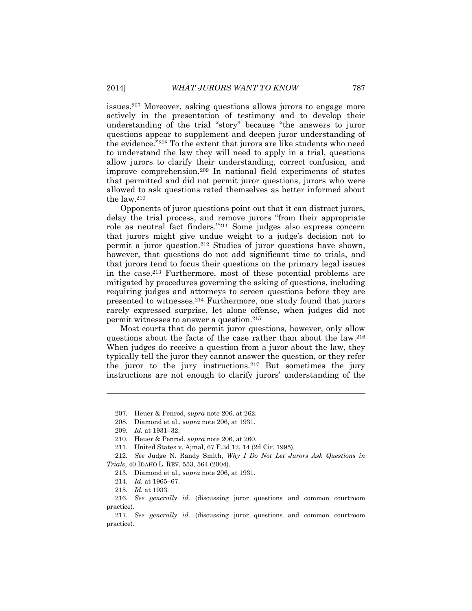issues.<sup>207</sup> Moreover, asking questions allows jurors to engage more actively in the presentation of testimony and to develop their understanding of the trial "story" because "the answers to juror questions appear to supplement and deepen juror understanding of the evidence."<sup>208</sup> To the extent that jurors are like students who need to understand the law they will need to apply in a trial, questions allow jurors to clarify their understanding, correct confusion, and improve comprehension.<sup>209</sup> In national field experiments of states that permitted and did not permit juror questions, jurors who were allowed to ask questions rated themselves as better informed about the law.<sup>210</sup>

Opponents of juror questions point out that it can distract jurors, delay the trial process, and remove jurors "from their appropriate role as neutral fact finders."<sup>211</sup> Some judges also express concern that jurors might give undue weight to a judge's decision not to permit a juror question.<sup>212</sup> Studies of juror questions have shown, however, that questions do not add significant time to trials, and that jurors tend to focus their questions on the primary legal issues in the case.<sup>213</sup> Furthermore, most of these potential problems are mitigated by procedures governing the asking of questions, including requiring judges and attorneys to screen questions before they are presented to witnesses.<sup>214</sup> Furthermore, one study found that jurors rarely expressed surprise, let alone offense, when judges did not permit witnesses to answer a question.<sup>215</sup>

Most courts that do permit juror questions, however, only allow questions about the facts of the case rather than about the law.<sup>216</sup> When judges do receive a question from a juror about the law, they typically tell the juror they cannot answer the question, or they refer the juror to the jury instructions.<sup>217</sup> But sometimes the jury instructions are not enough to clarify jurors' understanding of the

<sup>207.</sup> Heuer & Penrod, *supra* note 206, at 262.

<sup>208.</sup> Diamond et al., *supra* note 206, at 1931.

<sup>209.</sup> *Id.* at 1931–32.

<sup>210.</sup> Heuer & Penrod, *supra* note 206, at 260.

<sup>211.</sup> United States v. Ajmal, 67 F.3d 12, 14 (2d Cir. 1995).

<sup>212.</sup> *See* Judge N. Randy Smith, *Why I Do Not Let Jurors Ask Questions in Trials*, 40 IDAHO L. REV. 553, 564 (2004).

<sup>213.</sup> Diamond et al., *supra* note 206, at 1931.

<sup>214.</sup> *Id.* at 1965–67.

<sup>215.</sup> *Id.* at 1933.

<sup>216.</sup> *See generally id.* (discussing juror questions and common courtroom practice).

<sup>217.</sup> *See generally id.* (discussing juror questions and common courtroom practice).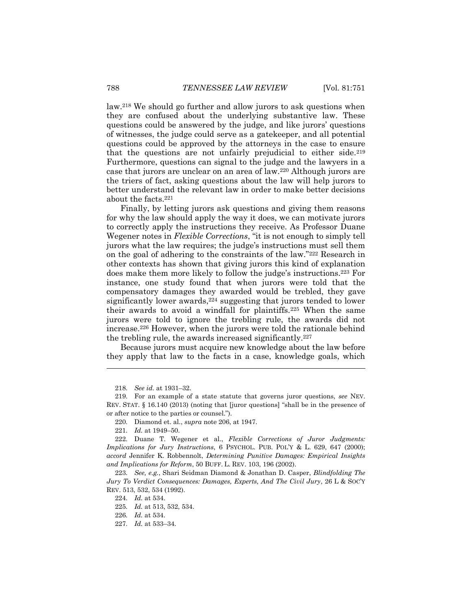law.<sup>218</sup> We should go further and allow jurors to ask questions when they are confused about the underlying substantive law. These questions could be answered by the judge, and like jurors' questions of witnesses, the judge could serve as a gatekeeper, and all potential questions could be approved by the attorneys in the case to ensure that the questions are not unfairly prejudicial to either side.<sup>219</sup> Furthermore, questions can signal to the judge and the lawyers in a case that jurors are unclear on an area of law.<sup>220</sup> Although jurors are the triers of fact, asking questions about the law will help jurors to better understand the relevant law in order to make better decisions about the facts.<sup>221</sup>

Finally, by letting jurors ask questions and giving them reasons for why the law should apply the way it does, we can motivate jurors to correctly apply the instructions they receive. As Professor Duane Wegener notes in *Flexible Corrections*, "it is not enough to simply tell jurors what the law requires; the judge's instructions must sell them on the goal of adhering to the constraints of the law."<sup>222</sup> Research in other contexts has shown that giving jurors this kind of explanation does make them more likely to follow the judge's instructions.<sup>223</sup> For instance, one study found that when jurors were told that the compensatory damages they awarded would be trebled, they gave significantly lower awards, <sup>224</sup> suggesting that jurors tended to lower their awards to avoid a windfall for plaintiffs.<sup>225</sup> When the same jurors were told to ignore the trebling rule, the awards did not increase.<sup>226</sup> However, when the jurors were told the rationale behind the trebling rule, the awards increased significantly.<sup>227</sup>

Because jurors must acquire new knowledge about the law before they apply that law to the facts in a case, knowledge goals, which

<sup>218.</sup> *See id.* at 1931–32.

<sup>219.</sup> For an example of a state statute that governs juror questions, *see* NEV. REV. STAT. § 16.140 (2013) (noting that [juror questions] "shall be in the presence of or after notice to the parties or counsel.").

<sup>220.</sup> Diamond et. al., *supra* note 206, at 1947.

<sup>221.</sup> *Id.* at 1949–50.

<sup>222.</sup> Duane T. Wegener et al., *Flexible Corrections of Juror Judgments: Implications for Jury Instructions*, 6 PSYCHOL. PUB. POL'Y & L. 629, 647 (2000); *accord* Jennifer K. Robbennolt, *Determining Punitive Damages: Empirical Insights and Implications for Reform*, 50 BUFF. L. REV. 103, 196 (2002).

<sup>223.</sup> *See, e.g.*, Shari Seidman Diamond & Jonathan D. Casper, *Blindfolding The Jury To Verdict Consequences: Damages, Experts, And The Civil Jury*, 26 L & SOC'Y REV. 513, 532, 534 (1992).

<sup>224.</sup> *Id.* at 534.

<sup>225.</sup> *Id.* at 513, 532, 534.

<sup>226.</sup> *Id.* at 534.

<sup>227.</sup> *Id.* at 533–34.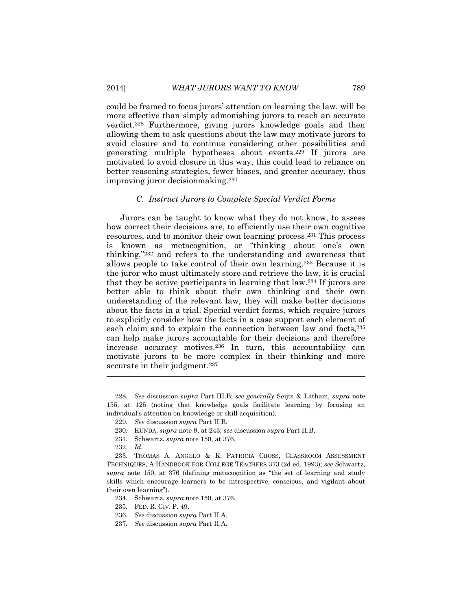could be framed to focus jurors' attention on learning the law, will be more effective than simply admonishing jurors to reach an accurate verdict.<sup>228</sup> Furthermore, giving jurors knowledge goals and then allowing them to ask questions about the law may motivate jurors to avoid closure and to continue considering other possibilities and generating multiple hypotheses about events.<sup>229</sup> If jurors are motivated to avoid closure in this way, this could lead to reliance on better reasoning strategies, fewer biases, and greater accuracy, thus improving juror decisionmaking.<sup>230</sup>

#### *C. Instruct Jurors to Complete Special Verdict Forms*

<span id="page-39-0"></span>Jurors can be taught to know what they do not know, to assess how correct their decisions are, to efficiently use their own cognitive resources, and to monitor their own learning process.<sup>231</sup> This process is known as metacognition, or "thinking about one's own thinking,"<sup>232</sup> and refers to the understanding and awareness that allows people to take control of their own learning.<sup>233</sup> Because it is the juror who must ultimately store and retrieve the law, it is crucial that they be active participants in learning that law.<sup>234</sup> If jurors are better able to think about their own thinking and their own understanding of the relevant law, they will make better decisions about the facts in a trial. Special verdict forms, which require jurors to explicitly consider how the facts in a case support each element of each claim and to explain the connection between law and facts,<sup>235</sup> can help make jurors accountable for their decisions and therefore increase accuracy motives.<sup>236</sup> In turn, this accountability can motivate jurors to be more complex in their thinking and more accurate in their judgment.<sup>237</sup>

<sup>228.</sup> *See* discussion *supra* Part III.B; *see generally* Seijts & Latham, *supra* note 155, at 125 (noting that knowledge goals facilitate learning by focusing an individual's attention on knowledge or skill acquisition).

<sup>229.</sup> *See* discussion *supra* Part II.B.

<sup>230.</sup> KUNDA, *supra* note 9, at 243; *see* discussion *supra* Part II.B.

<sup>231.</sup> Schwartz, *supra* note 150, at 376.

<sup>232.</sup> *Id.*

<sup>233.</sup> THOMAS A. ANGELO & K. PATRICIA CROSS, CLASSROOM ASSESSMENT TECHNIQUES, A HANDBOOK FOR COLLEGE TEACHERS 373 (2d ed. 1993); *see* Schwartz, *supra* note 150, at 376 (defining metacognition as "the set of learning and study skills which encourage learners to be introspective, conscious, and vigilant about their own learning").

<sup>234.</sup> Schwartz, *supra* note 150, at 376.

<sup>235.</sup> FED. R. CIV. P. 49.

<sup>236.</sup> *See* discussion *supra* Part II.A.

<sup>237.</sup> *See* discussion *supra* Part II.A.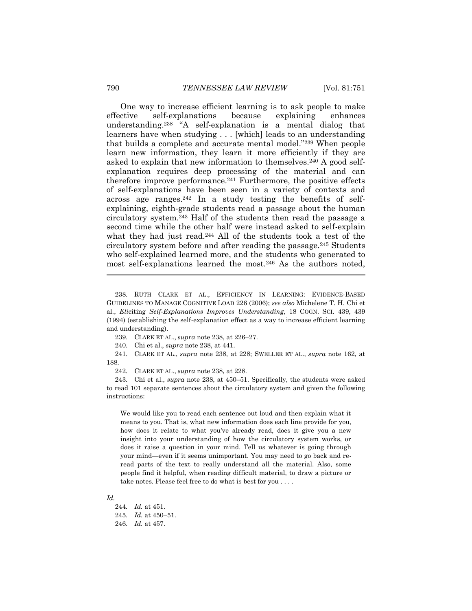One way to increase efficient learning is to ask people to make effective self-explanations because explaining enhances understanding.<sup>238</sup> "A self-explanation is a mental dialog that learners have when studying . . . [which] leads to an understanding that builds a complete and accurate mental model."<sup>239</sup> When people learn new information, they learn it more efficiently if they are asked to explain that new information to themselves.<sup>240</sup> A good selfexplanation requires deep processing of the material and can therefore improve performance. $241$  Furthermore, the positive effects of self-explanations have been seen in a variety of contexts and across age ranges.<sup>242</sup> In a study testing the benefits of selfexplaining, eighth-grade students read a passage about the human circulatory system.<sup>243</sup> Half of the students then read the passage a second time while the other half were instead asked to self-explain what they had just read.<sup>244</sup> All of the students took a test of the circulatory system before and after reading the passage.<sup>245</sup> Students who self-explained learned more, and the students who generated to most self-explanations learned the most.<sup>246</sup> As the authors noted,

240. Chi et al., *supra* note 238, at 441.

241. CLARK ET AL., *supra* note 238, at 228; SWELLER ET AL., *supra* note 162, at 188.

242. CLARK ET AL., *supra* note 238, at 228.

243. Chi et al., *supra* note 238, at 450–51. Specifically, the students were asked to read 101 separate sentences about the circulatory system and given the following instructions:

We would like you to read each sentence out loud and then explain what it means to you. That is, what new information does each line provide for you, how does it relate to what you've already read, does it give you a new insight into your understanding of how the circulatory system works, or does it raise a question in your mind. Tell us whatever is going through your mind—even if it seems unimportant. You may need to go back and reread parts of the text to really understand all the material. Also, some people find it helpful, when reading difficult material, to draw a picture or take notes. Please feel free to do what is best for you . . . .

*Id.*

244*. Id.* at 451. 245. *Id.* at 450–51. 246. *Id.* at 457.

<sup>238.</sup> RUTH CLARK ET AL., EFFICIENCY IN LEARNING: EVIDENCE-BASED GUIDELINES TO MANAGE COGNITIVE LOAD 226 (2006); *see also* Michelene T. H. Chi et al., *Eli*citing *Self-Explanations Improves Understanding*, 18 COGN. SCI. 439, 439 (1994) (establishing the self-explanation effect as a way to increase efficient learning and understanding).

<sup>239.</sup> CLARK ET AL., *supra* note 238, at 226–27.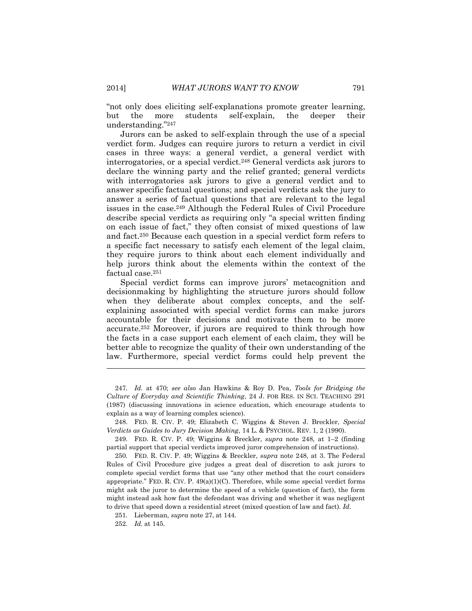"not only does eliciting self-explanations promote greater learning, but the more students self-explain, the deeper their understanding."<sup>247</sup>

Jurors can be asked to self-explain through the use of a special verdict form. Judges can require jurors to return a verdict in civil cases in three ways: a general verdict, a general verdict with interrogatories, or a special verdict.<sup>248</sup> General verdicts ask jurors to declare the winning party and the relief granted; general verdicts with interrogatories ask jurors to give a general verdict and to answer specific factual questions; and special verdicts ask the jury to answer a series of factual questions that are relevant to the legal issues in the case.<sup>249</sup> Although the Federal Rules of Civil Procedure describe special verdicts as requiring only "a special written finding on each issue of fact," they often consist of mixed questions of law and fact. <sup>250</sup> Because each question in a special verdict form refers to a specific fact necessary to satisfy each element of the legal claim, they require jurors to think about each element individually and help jurors think about the elements within the context of the factual case.<sup>251</sup>

Special verdict forms can improve jurors' metacognition and decisionmaking by highlighting the structure jurors should follow when they deliberate about complex concepts, and the selfexplaining associated with special verdict forms can make jurors accountable for their decisions and motivate them to be more accurate.<sup>252</sup> Moreover, if jurors are required to think through how the facts in a case support each element of each claim, they will be better able to recognize the quality of their own understanding of the law. Furthermore, special verdict forms could help prevent the

<sup>247.</sup> *Id.* at 470; *see also* Jan Hawkins & Roy D. Pea, *Tools for Bridging the Culture of Everyday and Scientific Thinking*, 24 J. FOR RES. IN SCI. TEACHING 291 (1987) (discussing innovations in science education, which encourage students to explain as a way of learning complex science).

<sup>248.</sup> FED. R. CIV. P. 49; Elizabeth C. Wiggins & Steven J. Breckler, *Special Verdicts as Guides to Jury Decision Making*, 14 L. & PSYCHOL. REV. 1, 2 (1990).

<sup>249.</sup> FED. R. CIV. P. 49; Wiggins & Breckler, *supra* note 248, at 1–2 (finding partial support that special verdicts improved juror comprehension of instructions).

<sup>250.</sup> FED. R. CIV. P. 49; Wiggins & Breckler, *supra* note 248, at 3. The Federal Rules of Civil Procedure give judges a great deal of discretion to ask jurors to complete special verdict forms that use "any other method that the court considers appropriate." FED. R. CIV. P.  $49(a)(1)(C)$ . Therefore, while some special verdict forms might ask the juror to determine the speed of a vehicle (question of fact), the form might instead ask how fast the defendant was driving and whether it was negligent to drive that speed down a residential street (mixed question of law and fact). *Id.*

<sup>251.</sup> Lieberman, *supra* note 27, at 144.

<sup>252.</sup> *Id.* at 145.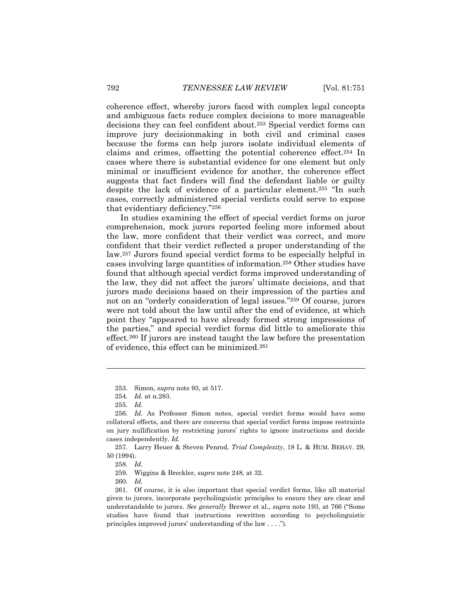coherence effect, whereby jurors faced with complex legal concepts and ambiguous facts reduce complex decisions to more manageable decisions they can feel confident about.<sup>253</sup> Special verdict forms can improve jury decisionmaking in both civil and criminal cases because the forms can help jurors isolate individual elements of claims and crimes, offsetting the potential coherence effect. <sup>254</sup> In cases where there is substantial evidence for one element but only minimal or insufficient evidence for another, the coherence effect suggests that fact finders will find the defendant liable or guilty despite the lack of evidence of a particular element.<sup>255</sup> "In such cases, correctly administered special verdicts could serve to expose that evidentiary deficiency."<sup>256</sup>

In studies examining the effect of special verdict forms on juror comprehension, mock jurors reported feeling more informed about the law, more confident that their verdict was correct, and more confident that their verdict reflected a proper understanding of the law.<sup>257</sup> Jurors found special verdict forms to be especially helpful in cases involving large quantities of information.<sup>258</sup> Other studies have found that although special verdict forms improved understanding of the law, they did not affect the jurors' ultimate decisions, and that jurors made decisions based on their impression of the parties and not on an "orderly consideration of legal issues."<sup>259</sup> Of course, jurors were not told about the law until after the end of evidence, at which point they "appeared to have already formed strong impressions of the parties," and special verdict forms did little to ameliorate this effect.<sup>260</sup> If jurors are instead taught the law before the presentation of evidence, this effect can be minimized.<sup>261</sup>

<sup>253.</sup> Simon, *supra* note 93, at 517.

<sup>254.</sup> *Id.* at n.283.

<sup>255.</sup> *Id.*

<sup>256.</sup> *Id.* As Professor Simon notes, special verdict forms would have some collateral effects, and there are concerns that special verdict forms impose restraints on jury nullification by restricting jurors' rights to ignore instructions and decide cases independently. *Id.*

<sup>257.</sup> Larry Heuer & Steven Penrod, *Trial Complexity*, 18 L. & HUM. BEHAV. 29, 50 (1994).

<sup>258.</sup> *Id.*

<sup>259.</sup> Wiggins & Breckler, *supra* note 248, at 32.

<sup>260.</sup> *Id.*

<sup>261.</sup> Of course, it is also important that special verdict forms, like all material given to jurors, incorporate psycholinguistic principles to ensure they are clear and understandable to jurors. *See generally* Brewer et al., *supra* note 193, at 766 ("Some studies have found that instructions rewritten according to psycholinguistic principles improved jurors' understanding of the law . . . .").